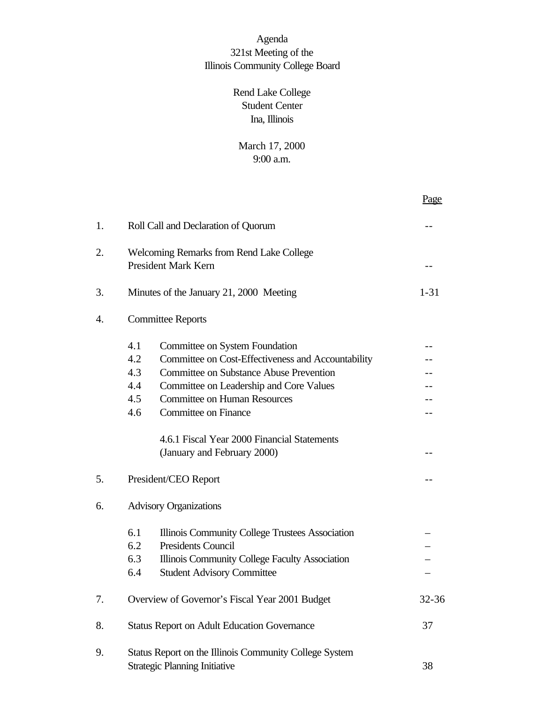# Agenda 321st Meeting of the Illinois Community College Board

# Rend Lake College Student Center Ina, Illinois

# March 17, 2000 9:00 a.m.

|    |                                                                                                                                                                                                                                                                                                                                                                                 | Page     |
|----|---------------------------------------------------------------------------------------------------------------------------------------------------------------------------------------------------------------------------------------------------------------------------------------------------------------------------------------------------------------------------------|----------|
| 1. | Roll Call and Declaration of Quorum                                                                                                                                                                                                                                                                                                                                             |          |
| 2. | <b>Welcoming Remarks from Rend Lake College</b><br><b>President Mark Kern</b>                                                                                                                                                                                                                                                                                                   |          |
| 3. | Minutes of the January 21, 2000 Meeting                                                                                                                                                                                                                                                                                                                                         | $1 - 31$ |
| 4. | <b>Committee Reports</b>                                                                                                                                                                                                                                                                                                                                                        |          |
|    | 4.1<br>Committee on System Foundation<br>4.2<br>Committee on Cost-Effectiveness and Accountability<br>4.3<br><b>Committee on Substance Abuse Prevention</b><br>4.4<br>Committee on Leadership and Core Values<br>4.5<br><b>Committee on Human Resources</b><br>4.6<br><b>Committee on Finance</b><br>4.6.1 Fiscal Year 2000 Financial Statements<br>(January and February 2000) |          |
| 5. | President/CEO Report                                                                                                                                                                                                                                                                                                                                                            |          |
| 6. | <b>Advisory Organizations</b>                                                                                                                                                                                                                                                                                                                                                   |          |
|    | 6.1<br>Illinois Community College Trustees Association<br>6.2<br><b>Presidents Council</b><br>6.3<br>Illinois Community College Faculty Association<br>6.4<br><b>Student Advisory Committee</b>                                                                                                                                                                                 |          |
| 7. | Overview of Governor's Fiscal Year 2001 Budget                                                                                                                                                                                                                                                                                                                                  | 32-36    |
| 8. | <b>Status Report on Adult Education Governance</b>                                                                                                                                                                                                                                                                                                                              |          |
| 9. | Status Report on the Illinois Community College System<br><b>Strategic Planning Initiative</b>                                                                                                                                                                                                                                                                                  |          |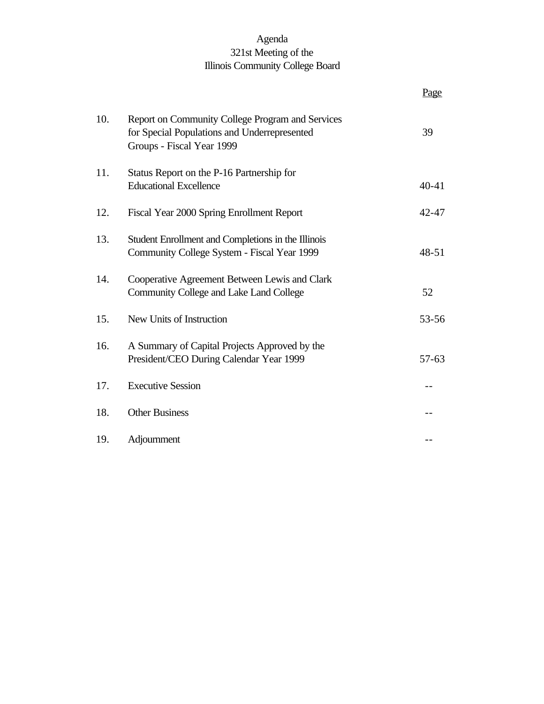# Agenda 321st Meeting of the Illinois Community College Board

|     |                                                                                                                               | Page      |
|-----|-------------------------------------------------------------------------------------------------------------------------------|-----------|
| 10. | Report on Community College Program and Services<br>for Special Populations and Underrepresented<br>Groups - Fiscal Year 1999 | 39        |
| 11. | Status Report on the P-16 Partnership for<br><b>Educational Excellence</b>                                                    | $40 - 41$ |
| 12. | Fiscal Year 2000 Spring Enrollment Report                                                                                     | 42-47     |
| 13. | Student Enrollment and Completions in the Illinois<br>Community College System - Fiscal Year 1999                             | $48 - 51$ |
| 14. | Cooperative Agreement Between Lewis and Clark<br>Community College and Lake Land College                                      | 52        |
| 15. | New Units of Instruction                                                                                                      | 53-56     |
| 16. | A Summary of Capital Projects Approved by the<br>President/CEO During Calendar Year 1999                                      | $57 - 63$ |
| 17. | <b>Executive Session</b>                                                                                                      |           |
| 18. | <b>Other Business</b>                                                                                                         |           |
| 19. | Adjournment                                                                                                                   |           |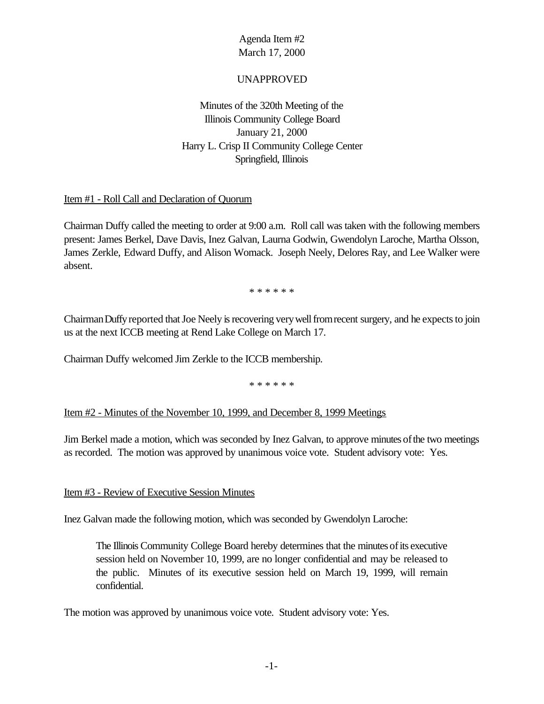#### UNAPPROVED

Minutes of the 320th Meeting of the Illinois Community College Board January 21, 2000 Harry L. Crisp II Community College Center Springfield, Illinois

#### Item #1 - Roll Call and Declaration of Quorum

Chairman Duffy called the meeting to order at 9:00 a.m. Roll call was taken with the following members present: James Berkel, Dave Davis, Inez Galvan, Laurna Godwin, Gwendolyn Laroche, Martha Olsson, James Zerkle, Edward Duffy, and Alison Womack. Joseph Neely, Delores Ray, and Lee Walker were absent.

\* \* \* \* \* \*

Chairman Duffy reported that Joe Neely is recovering very well from recent surgery, and he expects to join us at the next ICCB meeting at Rend Lake College on March 17.

Chairman Duffy welcomed Jim Zerkle to the ICCB membership.

\* \* \* \* \* \*

Item #2 - Minutes of the November 10, 1999, and December 8, 1999 Meetings

Jim Berkel made a motion, which was seconded by Inez Galvan, to approve minutes ofthe two meetings as recorded. The motion was approved by unanimous voice vote. Student advisory vote: Yes.

#### Item #3 - Review of Executive Session Minutes

Inez Galvan made the following motion, which was seconded by Gwendolyn Laroche:

The Illinois Community College Board hereby determines that the minutes ofits executive session held on November 10, 1999, are no longer confidential and may be released to the public. Minutes of its executive session held on March 19, 1999, will remain confidential.

The motion was approved by unanimous voice vote. Student advisory vote: Yes.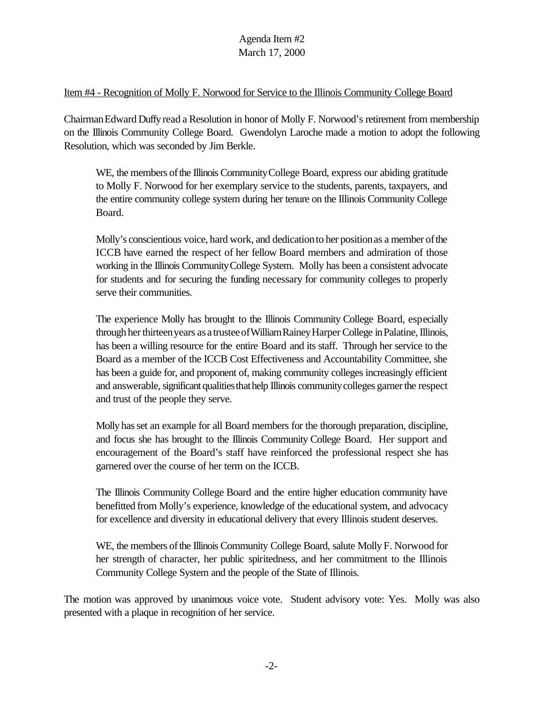#### Item #4 - Recognition of Molly F. Norwood for Service to the Illinois Community College Board

ChairmanEdward Duffyread a Resolution in honor of Molly F. Norwood's retirement from membership on the Illinois Community College Board. Gwendolyn Laroche made a motion to adopt the following Resolution, which was seconded by Jim Berkle.

WE, the members of the Illinois Community College Board, express our abiding gratitude to Molly F. Norwood for her exemplary service to the students, parents, taxpayers, and the entire community college system during her tenure on the Illinois Community College Board.

Molly's conscientious voice, hard work, and dedication to her position as a member of the ICCB have earned the respect of her fellow Board members and admiration of those working in the Illinois CommunityCollege System. Molly has been a consistent advocate for students and for securing the funding necessary for community colleges to properly serve their communities.

The experience Molly has brought to the Illinois Community College Board, especially through her thirteen years as a trustee of William Rainey Harper College in Palatine, Illinois, has been a willing resource for the entire Board and its staff. Through her service to the Board as a member of the ICCB Cost Effectiveness and Accountability Committee, she has been a guide for, and proponent of, making community colleges increasingly efficient and answerable, significant qualities that help Illinois community colleges garner the respect and trust of the people they serve.

Molly hasset an example for all Board members for the thorough preparation, discipline, and focus she has brought to the Illinois Community College Board. Her support and encouragement of the Board's staff have reinforced the professional respect she has garnered over the course of her term on the ICCB.

The Illinois Community College Board and the entire higher education community have benefitted from Molly's experience, knowledge of the educational system, and advocacy for excellence and diversity in educational delivery that every Illinois student deserves.

WE, the members of the Illinois Community College Board, salute Molly F. Norwood for her strength of character, her public spiritedness, and her commitment to the Illinois Community College System and the people of the State of Illinois.

The motion was approved by unanimous voice vote. Student advisory vote: Yes. Molly was also presented with a plaque in recognition of her service.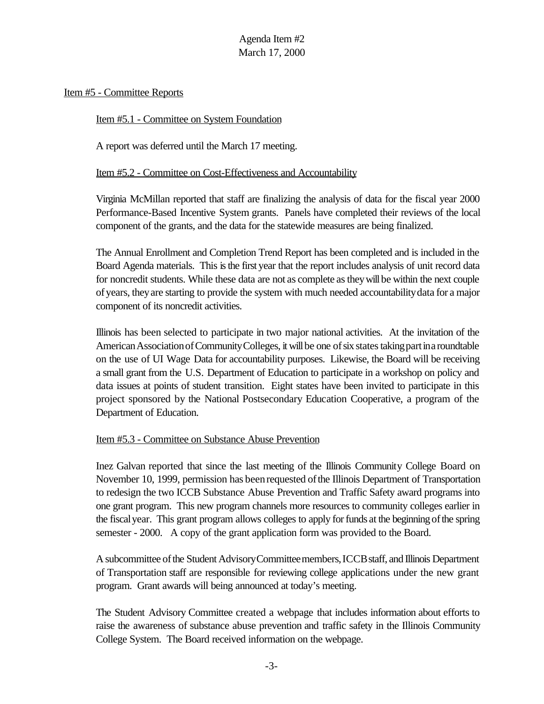Item #5 - Committee Reports

Item #5.1 - Committee on System Foundation

A report was deferred until the March 17 meeting.

Item #5.2 - Committee on Cost-Effectiveness and Accountability

Virginia McMillan reported that staff are finalizing the analysis of data for the fiscal year 2000 Performance-Based Incentive System grants. Panels have completed their reviews of the local component of the grants, and the data for the statewide measures are being finalized.

The Annual Enrollment and Completion Trend Report has been completed and is included in the Board Agenda materials. This isthe first year that the report includes analysis of unit record data for noncredit students. While these data are not as complete as they will be within the next couple ofyears, theyare starting to provide the system with much needed accountabilitydata for a major component of its noncredit activities.

Illinois has been selected to participate in two major national activities. At the invitation of the American Association of Community Colleges, it will be one of six states taking part in a roundtable on the use of UI Wage Data for accountability purposes. Likewise, the Board will be receiving a small grant from the U.S. Department of Education to participate in a workshop on policy and data issues at points of student transition. Eight states have been invited to participate in this project sponsored by the National Postsecondary Education Cooperative, a program of the Department of Education.

#### Item #5.3 - Committee on Substance Abuse Prevention

Inez Galvan reported that since the last meeting of the Illinois Community College Board on November 10, 1999, permission has been requested of the Illinois Department of Transportation to redesign the two ICCB Substance Abuse Prevention and Traffic Safety award programs into one grant program. This new program channels more resources to community colleges earlier in the fiscal year. This grant program allows colleges to apply for funds at the beginning of the spring semester - 2000. A copy of the grant application form was provided to the Board.

A subcommittee ofthe Student AdvisoryCommitteemembers,ICCBstaff, and Illinois Department of Transportation staff are responsible for reviewing college applications under the new grant program. Grant awards will being announced at today's meeting.

The Student Advisory Committee created a webpage that includes information about efforts to raise the awareness of substance abuse prevention and traffic safety in the Illinois Community College System. The Board received information on the webpage.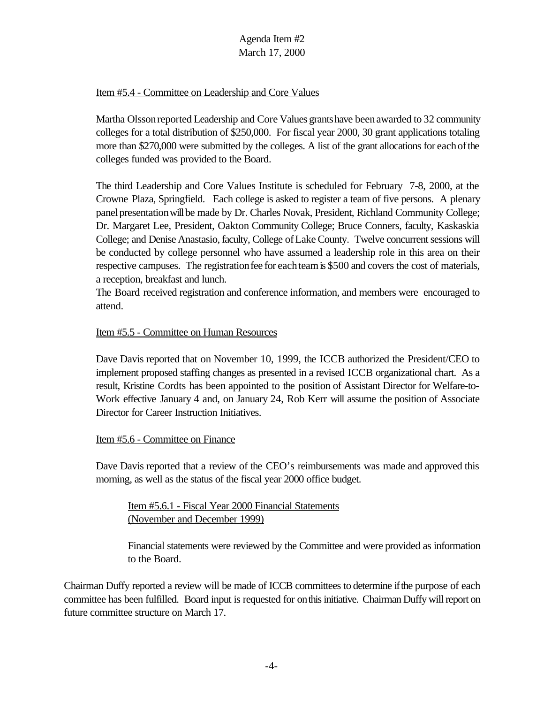### Item #5.4 - Committee on Leadership and Core Values

Martha Olssonreported Leadership and Core Values grantshave beenawarded to 32 community colleges for a total distribution of \$250,000. For fiscal year 2000, 30 grant applications totaling more than \$270,000 were submitted by the colleges. A list of the grant allocations for eachofthe colleges funded was provided to the Board.

The third Leadership and Core Values Institute is scheduled for February 7-8, 2000, at the Crowne Plaza, Springfield. Each college is asked to register a team of five persons. A plenary panel presentation will be made by Dr. Charles Novak, President, Richland Community College; Dr. Margaret Lee, President, Oakton Community College; Bruce Conners, faculty, Kaskaskia College; and Denise Anastasio, faculty, College of Lake County. Twelve concurrent sessions will be conducted by college personnel who have assumed a leadership role in this area on their respective campuses. The registration fee for each team is \$500 and covers the cost of materials, a reception, breakfast and lunch.

The Board received registration and conference information, and members were encouraged to attend.

#### Item #5.5 - Committee on Human Resources

Dave Davis reported that on November 10, 1999, the ICCB authorized the President/CEO to implement proposed staffing changes as presented in a revised ICCB organizational chart. As a result, Kristine Cordts has been appointed to the position of Assistant Director for Welfare-to-Work effective January 4 and, on January 24, Rob Kerr will assume the position of Associate Director for Career Instruction Initiatives.

#### Item #5.6 - Committee on Finance

Dave Davis reported that a review of the CEO's reimbursements was made and approved this morning, as well as the status of the fiscal year 2000 office budget.

Item #5.6.1 - Fiscal Year 2000 Financial Statements (November and December 1999)

Financial statements were reviewed by the Committee and were provided as information to the Board.

Chairman Duffy reported a review will be made of ICCB committees to determine if the purpose of each committee has been fulfilled. Board input is requested for on this initiative. Chairman Duffy will report on future committee structure on March 17.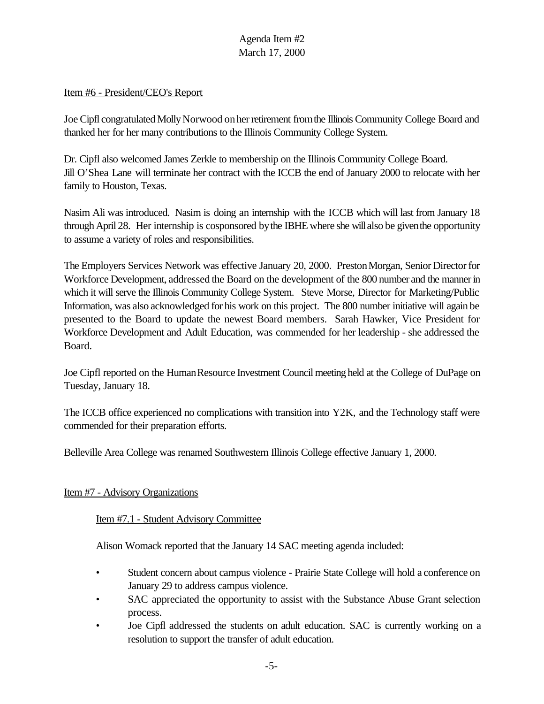#### Item #6 - President/CEO's Report

Joe Cipfl congratulated MollyNorwood onherretirement fromthe Illinois Community College Board and thanked her for her many contributions to the Illinois Community College System.

Dr. Cipfl also welcomed James Zerkle to membership on the Illinois Community College Board. Jill O'Shea Lane will terminate her contract with the ICCB the end of January 2000 to relocate with her family to Houston, Texas.

Nasim Ali was introduced. Nasim is doing an internship with the ICCB which will last from January 18 through April 28. Her internship is cosponsored bythe IBHE where she will also be giventhe opportunity to assume a variety of roles and responsibilities.

The Employers Services Network was effective January 20, 2000. Preston Morgan, Senior Director for Workforce Development, addressed the Board on the development of the 800 number and the mannerin which it will serve the Illinois Community College System. Steve Morse, Director for Marketing/Public Information, was also acknowledged for his work on this project. The 800 number initiative will again be presented to the Board to update the newest Board members. Sarah Hawker, Vice President for Workforce Development and Adult Education, was commended for her leadership - she addressed the Board.

Joe Cipfl reported on the Human Resource Investment Council meeting held at the College of DuPage on Tuesday, January 18.

The ICCB office experienced no complications with transition into Y2K, and the Technology staff were commended for their preparation efforts.

Belleville Area College was renamed Southwestern Illinois College effective January 1, 2000.

### Item #7 - Advisory Organizations

### Item #7.1 - Student Advisory Committee

Alison Womack reported that the January 14 SAC meeting agenda included:

- Student concern about campus violence Prairie State College will hold a conference on January 29 to address campus violence.
- SAC appreciated the opportunity to assist with the Substance Abuse Grant selection process.
- Joe Cipfl addressed the students on adult education. SAC is currently working on a resolution to support the transfer of adult education.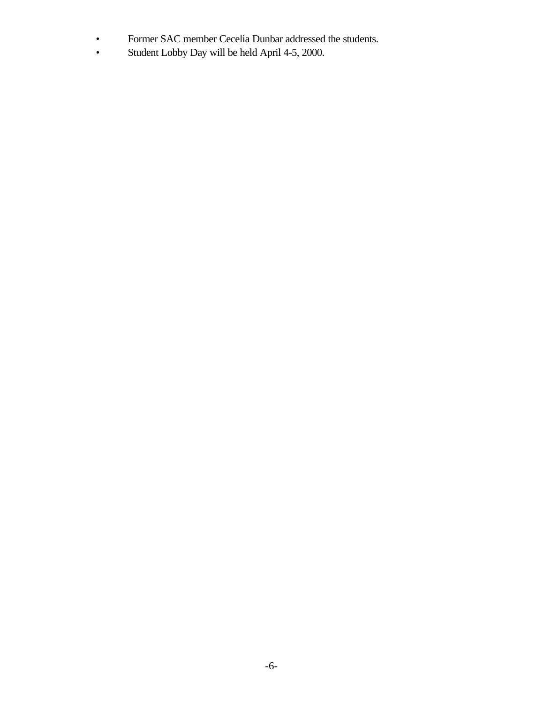- Former SAC member Cecelia Dunbar addressed the students.<br>• Student Lobby Day will be held April 4-5, 2000.
- Student Lobby Day will be held April 4-5, 2000.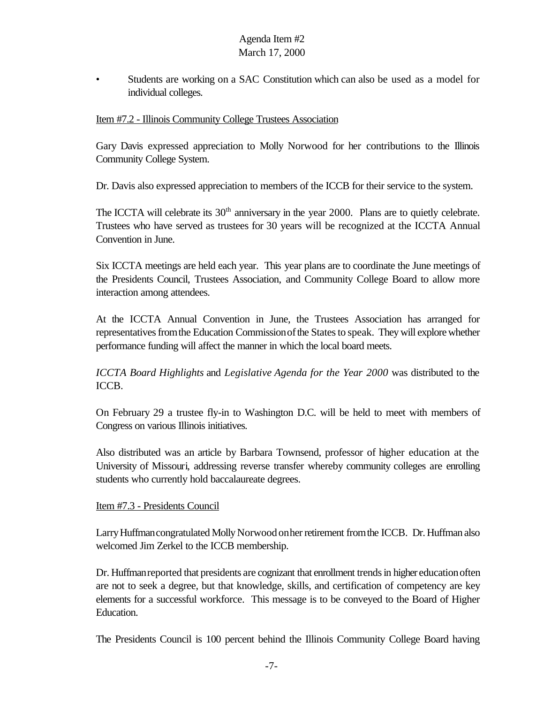• Students are working on a SAC Constitution which can also be used as a model for individual colleges.

#### Item #7.2 - Illinois Community College Trustees Association

Gary Davis expressed appreciation to Molly Norwood for her contributions to the Illinois Community College System.

Dr. Davis also expressed appreciation to members of the ICCB for their service to the system.

The ICCTA will celebrate its 30<sup>th</sup> anniversary in the year 2000. Plans are to quietly celebrate. Trustees who have served as trustees for 30 years will be recognized at the ICCTA Annual Convention in June.

Six ICCTA meetings are held each year. This year plans are to coordinate the June meetings of the Presidents Council, Trustees Association, and Community College Board to allow more interaction among attendees.

At the ICCTA Annual Convention in June, the Trustees Association has arranged for representatives from the Education Commission of the States to speak. They will explore whether performance funding will affect the manner in which the local board meets.

*ICCTA Board Highlights* and *Legislative Agenda for the Year 2000* was distributed to the ICCB.

On February 29 a trustee fly-in to Washington D.C. will be held to meet with members of Congress on various Illinois initiatives.

Also distributed was an article by Barbara Townsend, professor of higher education at the University of Missouri, addressing reverse transfer whereby community colleges are enrolling students who currently hold baccalaureate degrees.

#### Item #7.3 - Presidents Council

Larry Huffman congratulated Molly Norwood on her retirement from the ICCB. Dr. Huffman also welcomed Jim Zerkel to the ICCB membership.

Dr. Huffmanreported that presidents are cognizant that enrollment trendsin higher educationoften are not to seek a degree, but that knowledge, skills, and certification of competency are key elements for a successful workforce. This message is to be conveyed to the Board of Higher Education.

The Presidents Council is 100 percent behind the Illinois Community College Board having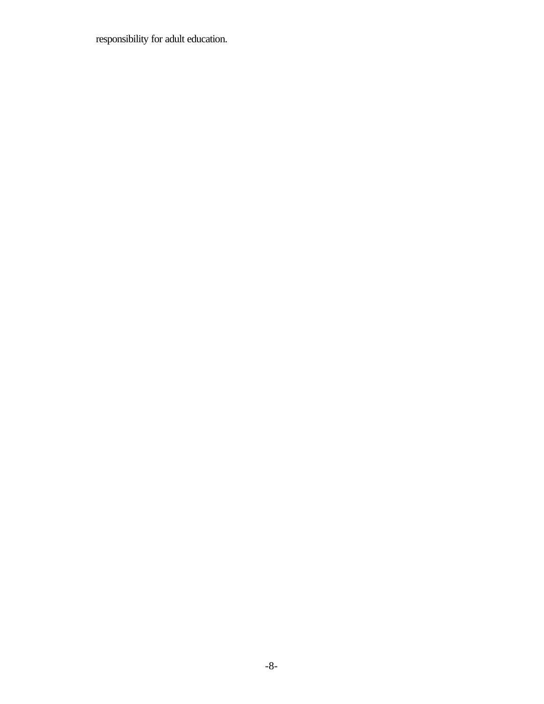responsibility for adult education.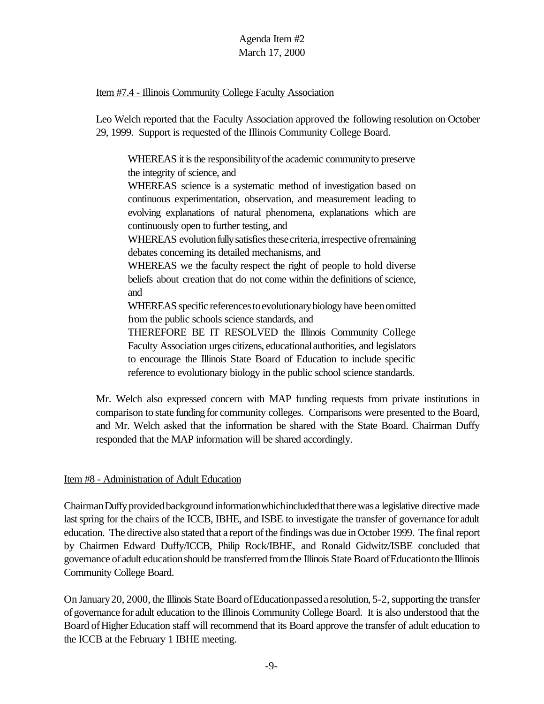#### Item #7.4 - Illinois Community College Faculty Association

Leo Welch reported that the Faculty Association approved the following resolution on October 29, 1999. Support is requested of the Illinois Community College Board.

WHEREAS it is the responsibility of the academic community to preserve the integrity of science, and

WHEREAS science is a systematic method of investigation based on continuous experimentation, observation, and measurement leading to evolving explanations of natural phenomena, explanations which are continuously open to further testing, and

WHEREAS evolution fully satisfies these criteria, irrespective of remaining debates concerning its detailed mechanisms, and

WHEREAS we the faculty respect the right of people to hold diverse beliefs about creation that do not come within the definitions of science, and

WHEREAS specific references to evolutionary biology have been omitted from the public schools science standards, and

THEREFORE BE IT RESOLVED the Illinois Community College Faculty Association urges citizens, educationalauthorities, and legislators to encourage the Illinois State Board of Education to include specific reference to evolutionary biology in the public school science standards.

Mr. Welch also expressed concern with MAP funding requests from private institutions in comparison to state funding for community colleges. Comparisons were presented to the Board, and Mr. Welch asked that the information be shared with the State Board. Chairman Duffy responded that the MAP information will be shared accordingly.

### Item #8 - Administration of Adult Education

Chairman Duffy provided background information which included that there was a legislative directive made lastspring for the chairs of the ICCB, IBHE, and ISBE to investigate the transfer of governance for adult education. The directive also stated that a report of the findings was due in October 1999. The final report by Chairmen Edward Duffy/ICCB, Philip Rock/IBHE, and Ronald Gidwitz/ISBE concluded that governance of adult educationshould be transferred fromthe Illinois State Board ofEducationtothe Illinois Community College Board.

On January20, 2000, the Illinois State Board ofEducationpasseda resolution, 5-2, supporting the transfer ofgovernance for adult education to the Illinois Community College Board. It is also understood that the Board of Higher Education staff will recommend that its Board approve the transfer of adult education to the ICCB at the February 1 IBHE meeting.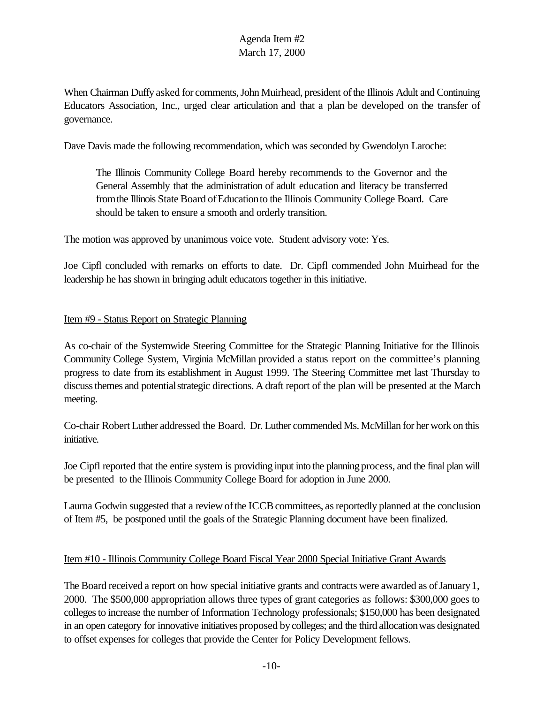When Chairman Duffy asked for comments, John Muirhead, president of the Illinois Adult and Continuing Educators Association, Inc., urged clear articulation and that a plan be developed on the transfer of governance.

Dave Davis made the following recommendation, which was seconded by Gwendolyn Laroche:

The Illinois Community College Board hereby recommends to the Governor and the General Assembly that the administration of adult education and literacy be transferred from the Illinois State Board of Education to the Illinois Community College Board. Care should be taken to ensure a smooth and orderly transition.

The motion was approved by unanimous voice vote. Student advisory vote: Yes.

Joe Cipfl concluded with remarks on efforts to date. Dr. Cipfl commended John Muirhead for the leadership he has shown in bringing adult educators together in this initiative.

#### Item #9 - Status Report on Strategic Planning

As co-chair of the Systemwide Steering Committee for the Strategic Planning Initiative for the Illinois Community College System, Virginia McMillan provided a status report on the committee's planning progress to date from its establishment in August 1999. The Steering Committee met last Thursday to discuss themes and potential strategic directions. A draft report of the plan will be presented at the March meeting.

Co-chair Robert Luther addressed the Board. Dr. Luther commended Ms. McMillan for her work on this initiative.

Joe Cipfl reported that the entire system is providing input into the planning process, and the final plan will be presented to the Illinois Community College Board for adoption in June 2000.

Laurna Godwin suggested that a review of the ICCB committees, as reportedly planned at the conclusion of Item #5, be postponed until the goals of the Strategic Planning document have been finalized.

#### Item #10 - Illinois Community College Board Fiscal Year 2000 Special Initiative Grant Awards

The Board received a report on how special initiative grants and contracts were awarded as of January 1, 2000. The \$500,000 appropriation allows three types of grant categories as follows: \$300,000 goes to collegesto increase the number of Information Technology professionals; \$150,000 has been designated in an open category for innovative initiatives proposed bycolleges; and the third allocationwas designated to offset expenses for colleges that provide the Center for Policy Development fellows.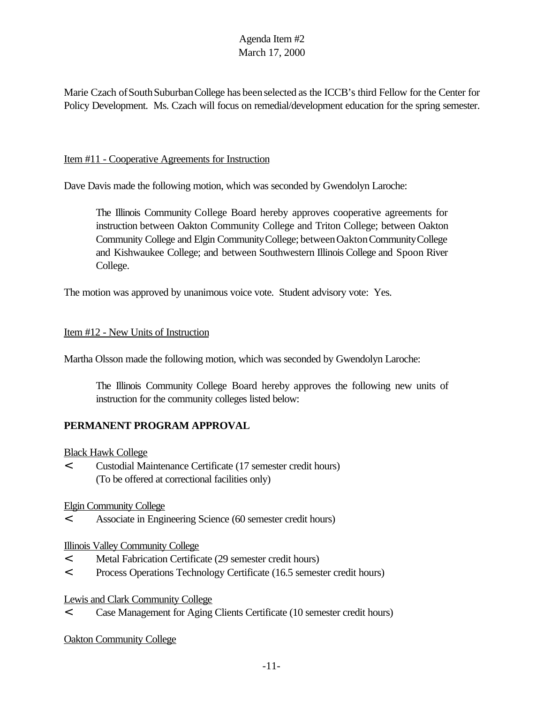Marie Czach of South Suburban College has been selected as the ICCB's third Fellow for the Center for Policy Development. Ms. Czach will focus on remedial/development education for the spring semester.

#### Item #11 - Cooperative Agreements for Instruction

Dave Davis made the following motion, which was seconded by Gwendolyn Laroche:

The Illinois Community College Board hereby approves cooperative agreements for instruction between Oakton Community College and Triton College; between Oakton Community College and Elgin CommunityCollege; betweenOaktonCommunityCollege and Kishwaukee College; and between Southwestern Illinois College and Spoon River College.

The motion was approved by unanimous voice vote. Student advisory vote: Yes.

#### Item #12 - New Units of Instruction

Martha Olsson made the following motion, which was seconded by Gwendolyn Laroche:

The Illinois Community College Board hereby approves the following new units of instruction for the community colleges listed below:

### **PERMANENT PROGRAM APPROVAL**

Black Hawk College

< Custodial Maintenance Certificate (17 semester credit hours) (To be offered at correctional facilities only)

Elgin Community College

< Associate in Engineering Science (60 semester credit hours)

Illinois Valley Community College

- < Metal Fabrication Certificate (29 semester credit hours)
- < Process Operations Technology Certificate (16.5 semester credit hours)

Lewis and Clark Community College

< Case Management for Aging Clients Certificate (10 semester credit hours)

Oakton Community College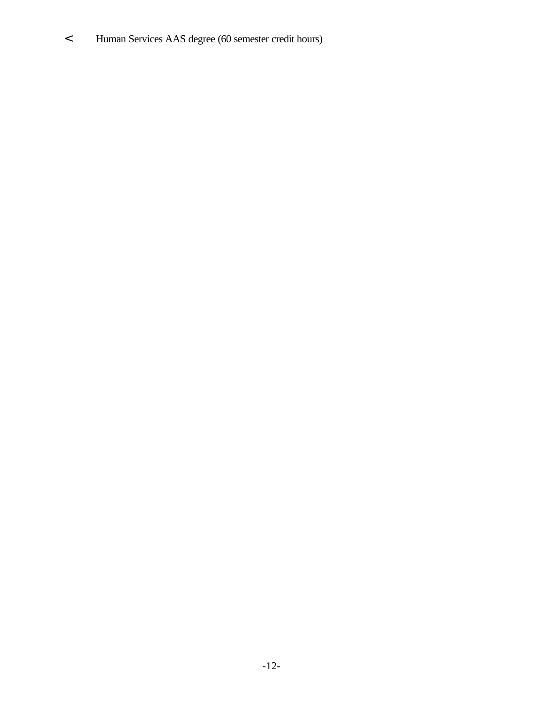< Human Services AAS degree (60 semester credit hours)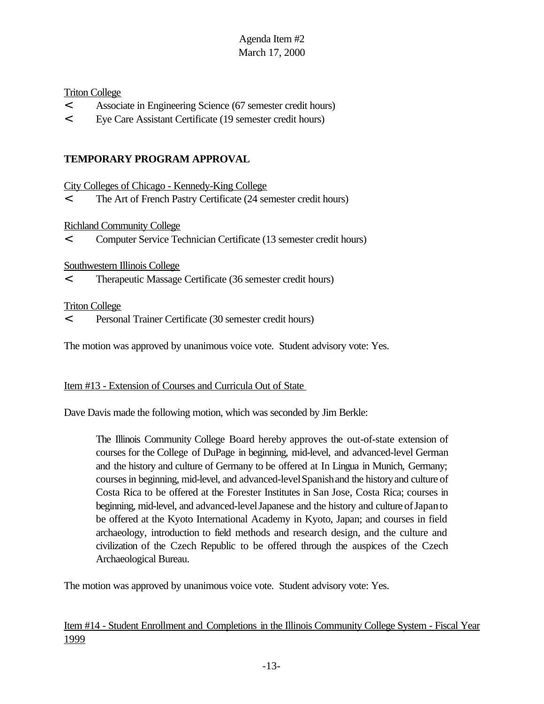#### Triton College

- < Associate in Engineering Science (67 semester credit hours)
- < Eye Care Assistant Certificate (19 semester credit hours)

### **TEMPORARY PROGRAM APPROVAL**

City Colleges of Chicago - Kennedy-King College

< The Art of French Pastry Certificate (24 semester credit hours)

Richland Community College

< Computer Service Technician Certificate (13 semester credit hours)

#### Southwestern Illinois College

< Therapeutic Massage Certificate (36 semester credit hours)

#### Triton College

< Personal Trainer Certificate (30 semester credit hours)

The motion was approved by unanimous voice vote. Student advisory vote: Yes.

#### Item #13 - Extension of Courses and Curricula Out of State

Dave Davis made the following motion, which was seconded by Jim Berkle:

The Illinois Community College Board hereby approves the out-of-state extension of courses for the College of DuPage in beginning, mid-level, and advanced-level German and the history and culture of Germany to be offered at In Lingua in Munich, Germany; courses in beginning, mid-level, and advanced-level Spanish and the history and culture of Costa Rica to be offered at the Forester Institutes in San Jose, Costa Rica; courses in beginning, mid-level, and advanced-levelJapanese and the history and culture ofJapanto be offered at the Kyoto International Academy in Kyoto, Japan; and courses in field archaeology, introduction to field methods and research design, and the culture and civilization of the Czech Republic to be offered through the auspices of the Czech Archaeological Bureau.

The motion was approved by unanimous voice vote. Student advisory vote: Yes.

Item #14 - Student Enrollment and Completions in the Illinois Community College System - Fiscal Year 1999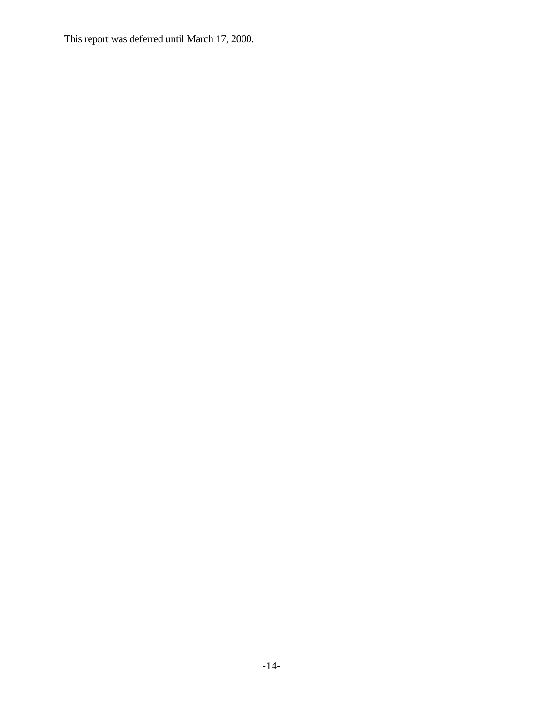This report was deferred until March 17, 2000.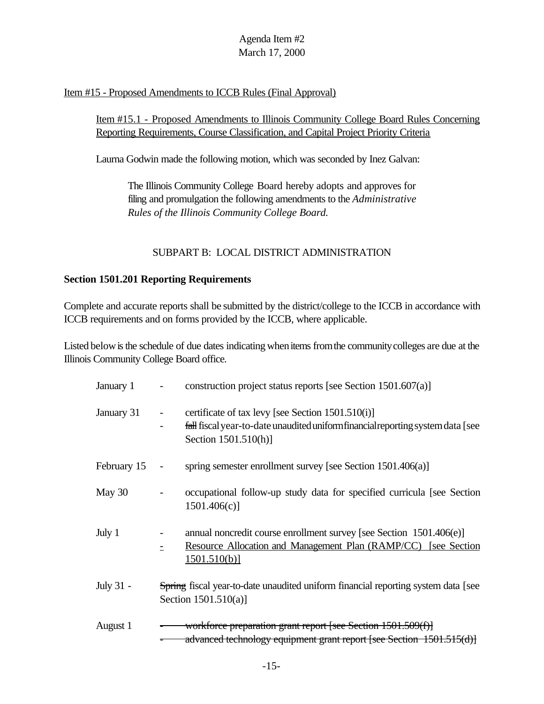#### Item #15 - Proposed Amendments to ICCB Rules (Final Approval)

### Item #15.1 - Proposed Amendments to Illinois Community College Board Rules Concerning Reporting Requirements, Course Classification, and Capital Project Priority Criteria

Laurna Godwin made the following motion, which was seconded by Inez Galvan:

The Illinois Community College Board hereby adopts and approves for filing and promulgation the following amendments to the *Administrative Rules of the Illinois Community College Board.*

### SUBPART B: LOCAL DISTRICT ADMINISTRATION

#### **Section 1501.201 Reporting Requirements**

Complete and accurate reports shall be submitted by the district/college to the ICCB in accordance with ICCB requirements and on forms provided by the ICCB, where applicable.

Listed below is the schedule of due dates indicating when items from the community colleges are due at the Illinois Community College Board office.

| January 1   | construction project status reports [see Section $1501.607(a)$ ]                                                                                             |
|-------------|--------------------------------------------------------------------------------------------------------------------------------------------------------------|
| January 31  | certificate of tax levy [see Section 1501.510(i)]<br>fall fiscal year-to-date unaudited uniform financial reporting system data [see<br>Section 1501.510(h)] |
| February 15 | spring semester enrollment survey [see Section 1501.406(a)]<br>$\overline{\phantom{a}}$                                                                      |
| May 30      | occupational follow-up study data for specified curricula [see Section<br>1501.406(c)                                                                        |
| July 1      | annual noncredit course enrollment survey [see Section 1501.406(e)]<br><b>Resource Allocation and Management Plan (RAMP/CC)</b> [see Section]<br>1501.510(b) |
| July 31 -   | Spring fiscal year-to-date unaudited uniform financial reporting system data [see<br>Section $1501.510(a)$ ]                                                 |
| August 1    | workforce preparation grant report [see Section 1501.509(f)]<br>advanced technology equipment grant report [see Section 1501.515(d)]                         |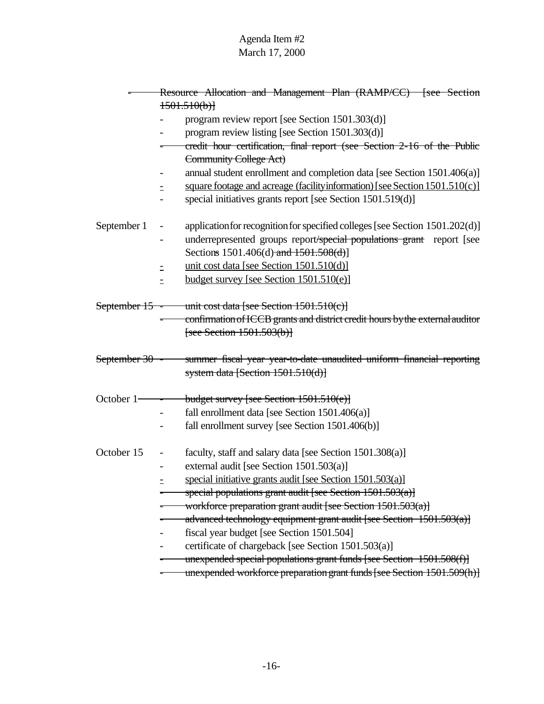|                | Resource Allocation and Management Plan (RAMP/CC) [see Section                    |  |  |  |  |
|----------------|-----------------------------------------------------------------------------------|--|--|--|--|
|                | 1501.510(b)                                                                       |  |  |  |  |
|                | program review report [see Section 1501.303(d)]                                   |  |  |  |  |
|                | program review listing [see Section 1501.303(d)]                                  |  |  |  |  |
|                | credit hour certification, final report (see Section 2-16 of the Public           |  |  |  |  |
|                | Community College Act)                                                            |  |  |  |  |
|                | annual student enrollment and completion data [see Section 1501.406(a)]           |  |  |  |  |
|                | square footage and acreage (facility information) [see Section 1501.510(c)]       |  |  |  |  |
|                | special initiatives grants report [see Section 1501.519(d)]                       |  |  |  |  |
| September 1    | application for recognition for specified colleges [see Section 1501.202(d)]<br>- |  |  |  |  |
|                | underrepresented groups report/special populations grant report [see              |  |  |  |  |
|                | Sections 1501.406(d)-and $1501.508$ (d)]                                          |  |  |  |  |
|                | unit cost data [see Section 1501.510(d)]<br>Ξ                                     |  |  |  |  |
|                | budget survey [see Section $1501.510(e)$ ]                                        |  |  |  |  |
| September 15 - | unit cost data [see Section $1501.510(c)$ ]                                       |  |  |  |  |
|                | confirmation of ICCB grants and district credit hours by the external auditor     |  |  |  |  |
|                | [see Section 1501.503(b)]                                                         |  |  |  |  |
| September 30 - | summer fiscal year year-to-date unaudited uniform financial reporting             |  |  |  |  |
|                | system data [Section $1501.510(d)$ ]                                              |  |  |  |  |
| October $1-$   | budget survey [see Section $1501.510(e)$ ]                                        |  |  |  |  |
|                | fall enrollment data [see Section 1501.406(a)]                                    |  |  |  |  |
|                | fall enrollment survey [see Section 1501.406(b)]                                  |  |  |  |  |
| October 15     | faculty, staff and salary data [see Section 1501.308(a)]                          |  |  |  |  |
|                | external audit [see Section 1501.503(a)]                                          |  |  |  |  |
|                | special initiative grants audit [see Section 1501.503(a)]                         |  |  |  |  |
|                | special populations grant audit [see Section $1501.503(a)$ ]                      |  |  |  |  |
|                | workforce preparation grant audit [see Section 1501.503(a)]                       |  |  |  |  |
|                | advanced technology equipment grant audit [see Section 1501.503(a)]               |  |  |  |  |
|                | fiscal year budget [see Section 1501.504]                                         |  |  |  |  |
|                | certificate of chargeback [see Section 1501.503(a)]                               |  |  |  |  |
|                | unexpended special populations grant funds [see Section 1501.508(f)]              |  |  |  |  |
|                | unexpended workforce preparation grant funds [see Section 1501.509(h)]            |  |  |  |  |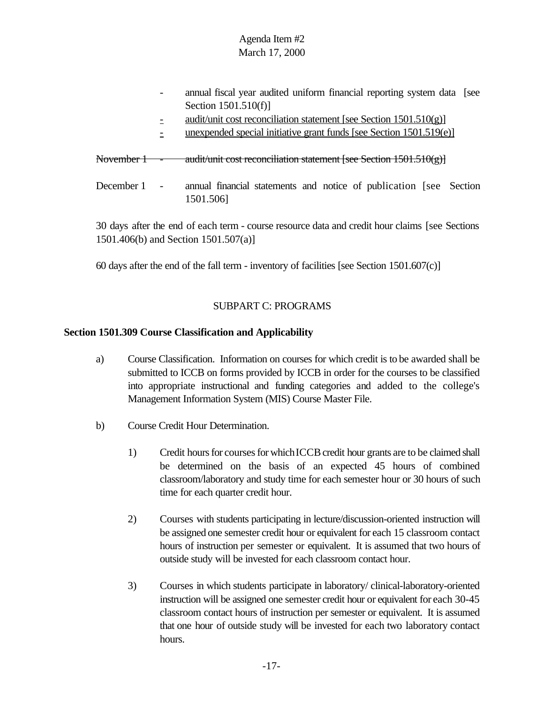| audit/unit cost reconciliation statement [see Section $1501.510(g)$ ]                                                     |  |
|---------------------------------------------------------------------------------------------------------------------------|--|
| unexpended special initiative grant funds [see Section 1501.519(e)]                                                       |  |
| audit/unit cost reconciliation statement [see Section 1501.510(g)]<br><del>November 1</del><br>$\overline{\phantom{a}}$   |  |
| December 1<br>annual financial statements and notice of publication [see Section<br>$\overline{\phantom{a}}$<br>1501.506] |  |

30 days after the end of each term - course resource data and credit hour claims [see Sections 1501.406(b) and Section 1501.507(a)]

60 days after the end of the fall term - inventory of facilities [see Section 1501.607(c)]

## SUBPART C: PROGRAMS

### **Section 1501.309 Course Classification and Applicability**

- a) Course Classification. Information on courses for which credit is to be awarded shall be submitted to ICCB on forms provided by ICCB in order for the courses to be classified into appropriate instructional and funding categories and added to the college's Management Information System (MIS) Course Master File.
- b) Course Credit Hour Determination.
	- 1) Credit hours for courses for which ICCB credit hour grants are to be claimed shall be determined on the basis of an expected 45 hours of combined classroom/laboratory and study time for each semester hour or 30 hours of such time for each quarter credit hour.
	- 2) Courses with students participating in lecture/discussion-oriented instruction will be assigned one semester credit hour or equivalent for each 15 classroom contact hours of instruction per semester or equivalent. It is assumed that two hours of outside study will be invested for each classroom contact hour.
	- 3) Courses in which students participate in laboratory/ clinical-laboratory-oriented instruction will be assigned one semester credit hour or equivalent for each 30-45 classroom contact hours of instruction per semester or equivalent. It is assumed that one hour of outside study will be invested for each two laboratory contact hours.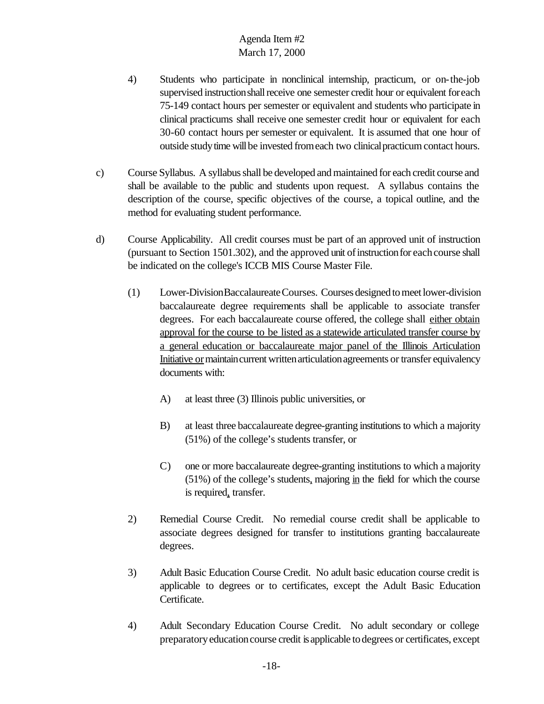- 4) Students who participate in nonclinical internship, practicum, or on-the-job supervised instruction shall receive one semester credit hour or equivalent for each 75-149 contact hours per semester or equivalent and students who participate in clinical practicums shall receive one semester credit hour or equivalent for each 30-60 contact hours per semester or equivalent. It is assumed that one hour of outside study time will be invested from each two clinical practicum contact hours.
- c) Course Syllabus. A syllabus shall be developed and maintained for each credit course and shall be available to the public and students upon request. A syllabus contains the description of the course, specific objectives of the course, a topical outline, and the method for evaluating student performance.
- d) Course Applicability. All credit courses must be part of an approved unit of instruction (pursuant to Section 1501.302), and the approved unit of instruction for each course shall be indicated on the college's ICCB MIS Course Master File.
	- (1) Lower-DivisionBaccalaureateCourses. Courses designed to meet lower-division baccalaureate degree requirements shall be applicable to associate transfer degrees. For each baccalaureate course offered, the college shall either obtain approval for the course to be listed as a statewide articulated transfer course by a general education or baccalaureate major panel of the Illinois Articulation Initiative or maintain current written articulation agreements or transfer equivalency documents with:
		- A) at least three (3) Illinois public universities, or
		- B) at least three baccalaureate degree-granting institutions to which a majority (51%) of the college's students transfer, or
		- C) one or more baccalaureate degree-granting institutions to which a majority  $(51\%)$  of the college's students, majoring in the field for which the course is required, transfer.
	- 2) Remedial Course Credit. No remedial course credit shall be applicable to associate degrees designed for transfer to institutions granting baccalaureate degrees.
	- 3) Adult Basic Education Course Credit. No adult basic education course credit is applicable to degrees or to certificates, except the Adult Basic Education Certificate.
	- 4) Adult Secondary Education Course Credit. No adult secondary or college preparatoryeducationcourse credit isapplicable todegrees or certificates, except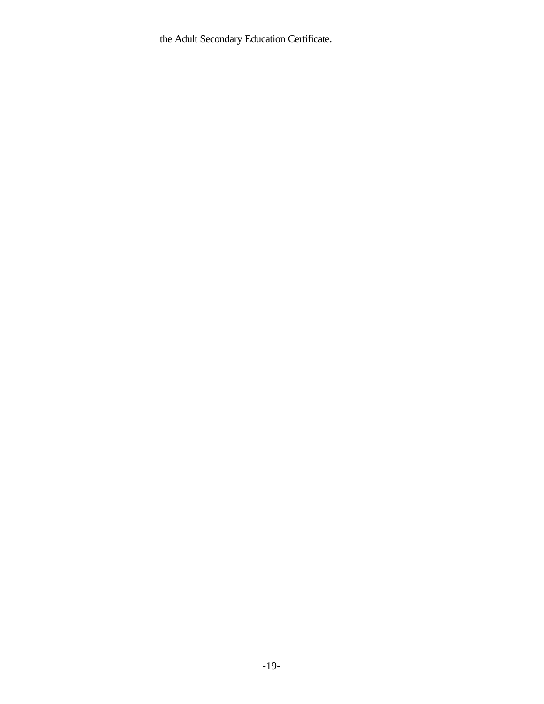the Adult Secondary Education Certificate.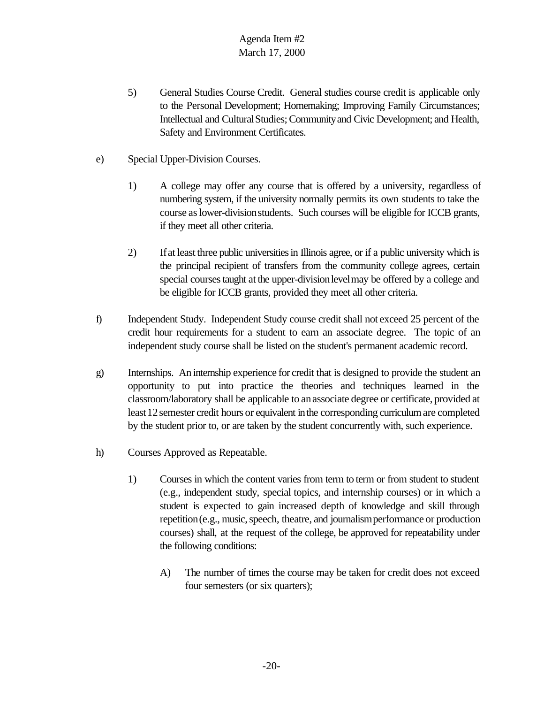- 5) General Studies Course Credit. General studies course credit is applicable only to the Personal Development; Homemaking; Improving Family Circumstances; Intellectual and Cultural Studies; Community and Civic Development; and Health, Safety and Environment Certificates.
- e) Special Upper-Division Courses.
	- 1) A college may offer any course that is offered by a university, regardless of numbering system, if the university normally permits its own students to take the course aslower-divisionstudents. Such courses will be eligible for ICCB grants, if they meet all other criteria.
	- 2) Ifat least three public universitiesin Illinois agree, or if a public university which is the principal recipient of transfers from the community college agrees, certain special courses taught at the upper-division level may be offered by a college and be eligible for ICCB grants, provided they meet all other criteria.
- f) Independent Study. Independent Study course credit shall not exceed 25 percent of the credit hour requirements for a student to earn an associate degree. The topic of an independent study course shall be listed on the student's permanent academic record.
- g) Internships. An internship experience for credit that is designed to provide the student an opportunity to put into practice the theories and techniques learned in the classroom/laboratory shall be applicable to anassociate degree or certificate, provided at least12semester credit hours or equivalent inthe corresponding curriculumare completed by the student prior to, or are taken by the student concurrently with, such experience.
- h) Courses Approved as Repeatable.
	- 1) Courses in which the content varies from term to term or from student to student (e.g., independent study, special topics, and internship courses) or in which a student is expected to gain increased depth of knowledge and skill through repetition (e.g., music, speech, theatre, and journalism performance or production courses) shall, at the request of the college, be approved for repeatability under the following conditions:
		- A) The number of times the course may be taken for credit does not exceed four semesters (or six quarters);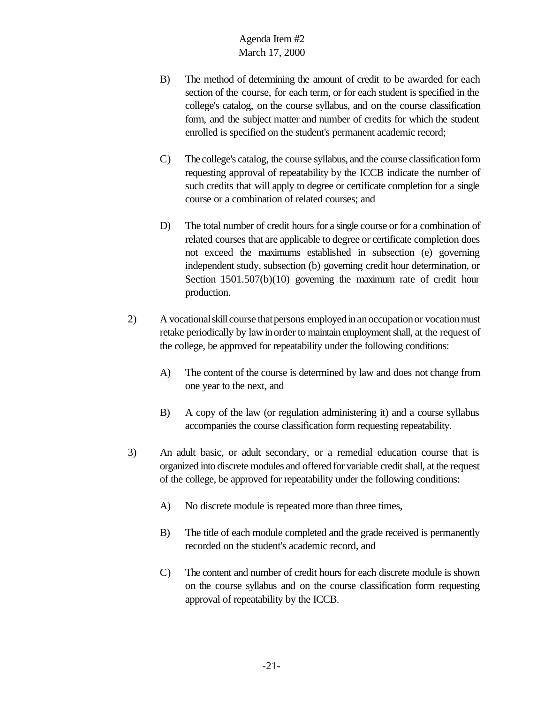- B) The method of determining the amount of credit to be awarded for each section of the course, for each term, or for each student is specified in the college's catalog, on the course syllabus, and on the course classification form, and the subject matter and number of credits for which the student enrolled is specified on the student's permanent academic record;
- C) The college's catalog, the course syllabus, and the course classificationform requesting approval of repeatability by the ICCB indicate the number of such credits that will apply to degree or certificate completion for a single course or a combination of related courses; and
- D) The total number of credit hours for a single course or for a combination of related courses that are applicable to degree or certificate completion does not exceed the maximums established in subsection (e) governing independent study, subsection (b) governing credit hour determination, or Section 1501.507(b)(10) governing the maximum rate of credit hour production.
- 2) A vocational skill course that persons employed in an occupation or vocation must retake periodically by law inorder to maintain employment shall, at the request of the college, be approved for repeatability under the following conditions:
	- A) The content of the course is determined by law and does not change from one year to the next, and
	- B) A copy of the law (or regulation administering it) and a course syllabus accompanies the course classification form requesting repeatability.
- 3) An adult basic, or adult secondary, or a remedial education course that is organized into discrete modules and offered for variable credit shall, at the request of the college, be approved for repeatability under the following conditions:
	- A) No discrete module is repeated more than three times,
	- B) The title of each module completed and the grade received is permanently recorded on the student's academic record, and
	- C) The content and number of credit hours for each discrete module is shown on the course syllabus and on the course classification form requesting approval of repeatability by the ICCB.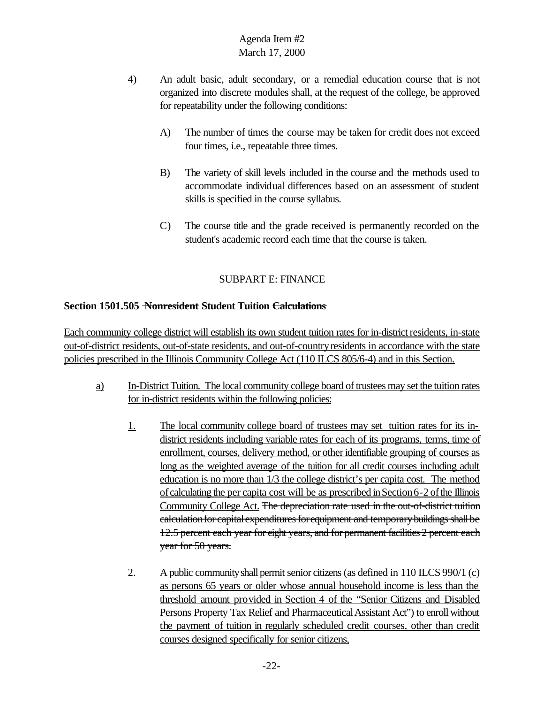- 4) An adult basic, adult secondary, or a remedial education course that is not organized into discrete modules shall, at the request of the college, be approved for repeatability under the following conditions:
	- A) The number of times the course may be taken for credit does not exceed four times, i.e., repeatable three times.
	- B) The variety of skill levels included in the course and the methods used to accommodate individual differences based on an assessment of student skills is specified in the course syllabus.
	- C) The course title and the grade received is permanently recorded on the student's academic record each time that the course is taken.

# SUBPART E: FINANCE

### **Section 1501.505 Nonresident Student Tuition Calculations**

Each community college district will establish its own student tuition rates for in-district residents, in-state out-of-district residents, out-of-state residents, and out-of-countryresidents in accordance with the state policies prescribed in the Illinois Community College Act (110 ILCS 805/6-4) and in this Section.

- a) In-District Tuition. The local community college board of trustees may set the tuition rates for in-district residents within the following policies:
	- 1. The local community college board of trustees may set tuition rates for its indistrict residents including variable rates for each of its programs, terms, time of enrollment, courses, delivery method, or otheridentifiable grouping of courses as long as the weighted average of the tuition for all credit courses including adult education is no more than 1/3 the college district's per capita cost. The method of calculating the per capita cost will be as prescribed inSection6-2 ofthe Illinois Community College Act. The depreciation rate used in the out-of-district tuition calculation for capital expenditures for equipment and temporary buildings shall be 12.5 percent each year for eight years, and for permanent facilities 2 percent each year for 50 years.
	- 2. A public community shall permit senior citizens (as defined in 110 ILCS 990/1 (c) as persons 65 years or older whose annual household income is less than the threshold amount provided in Section 4 of the "Senior Citizens and Disabled Persons Property Tax Relief and Pharmaceutical Assistant Act") to enroll without the payment of tuition in regularly scheduled credit courses, other than credit courses designed specifically for senior citizens,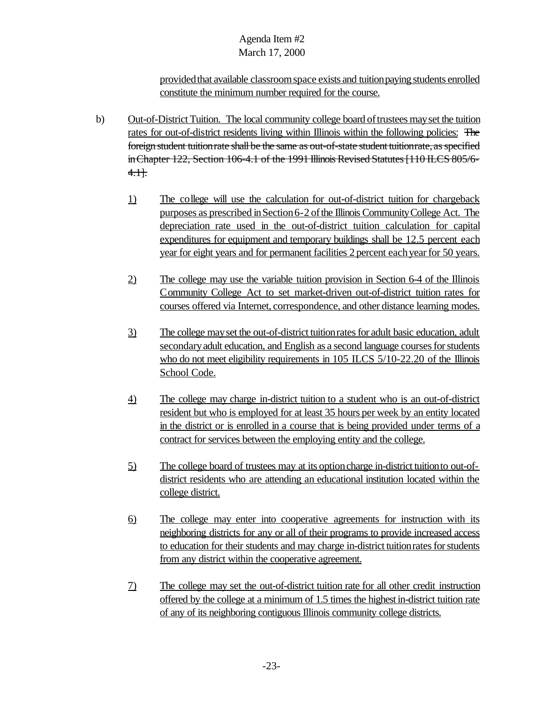provided that available classroom space exists and tuition paying students enrolled constitute the minimum number required for the course.

- b) Out-of-District Tuition. The local community college board oftrustees mayset the tuition rates for out-of-district residents living within Illinois within the following policies: The foreign student tuition rate shall be the same as out-of-state student tuition rate, as specified in Chapter 122, Section 106-4.1 of the 1991 Illinois Revised Statutes [110 ILCS 805/6-4.1].
	- 1) The college will use the calculation for out-of-district tuition for chargeback purposes as prescribed inSection6-2 ofthe Illinois CommunityCollege Act. The depreciation rate used in the out-of-district tuition calculation for capital expenditures for equipment and temporary buildings shall be 12.5 percent each year for eight years and for permanent facilities 2 percent each year for 50 years.
	- 2) The college may use the variable tuition provision in Section 6-4 of the Illinois Community College Act to set market-driven out-of-district tuition rates for courses offered via Internet, correspondence, and other distance learning modes.
	- 3) The college mayset the out-of-district tuitionratesfor adult basic education, adult secondary adult education, and English as a second language courses for students who do not meet eligibility requirements in 105 ILCS 5/10-22.20 of the Illinois School Code.
	- 4) The college may charge in-district tuition to a student who is an out-of-district resident but who is employed for at least 35 hours per week by an entity located in the district or is enrolled in a course that is being provided under terms of a contract for services between the employing entity and the college.
	- 5) The college board of trustees may at its optioncharge in-district tuitionto out-ofdistrict residents who are attending an educational institution located within the college district.
	- 6) The college may enter into cooperative agreements for instruction with its neighboring districts for any or all of their programs to provide increased access to education for their students and may charge in-district tuition rates for students from any district within the cooperative agreement.
	- 7) The college may set the out-of-district tuition rate for all other credit instruction offered by the college at a minimum of 1.5 times the highest in-district tuition rate of any of its neighboring contiguous Illinois community college districts.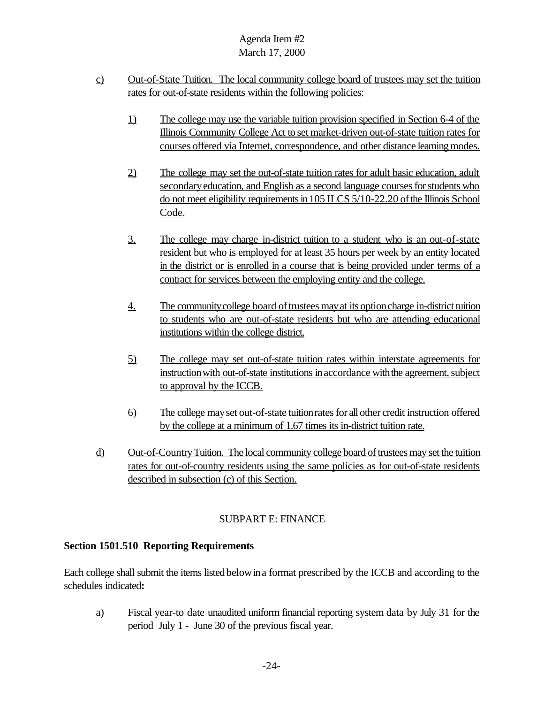- c) Out-of-State Tuition. The local community college board of trustees may set the tuition rates for out-of-state residents within the following policies:
	- 1) The college may use the variable tuition provision specified in Section 6-4 of the Illinois Community College Act to set market-driven out-of-state tuition rates for courses offered via Internet, correspondence, and other distance learning modes.
	- 2) The college may set the out-of-state tuition rates for adult basic education, adult secondary education, and English as a second language courses for students who do not meet eligibility requirements in 105 ILCS 5/10-22.20 of the Illinois School Code.
	- 3. The college may charge in-district tuition to a student who is an out-of-state resident but who is employed for at least 35 hours per week by an entity located in the district or is enrolled in a course that is being provided under terms of a contract for services between the employing entity and the college.
	- 4. The community college board of trustees may at its option charge in-district tuition to students who are out-of-state residents but who are attending educational institutions within the college district.
	- 5) The college may set out-of-state tuition rates within interstate agreements for instruction with out-of-state institutions in accordance with the agreement, subject to approval by the ICCB.
	- 6) The college mayset out-of-state tuitionratesfor allother credit instruction offered by the college at a minimum of 1.67 times its in-district tuition rate.
- d) Out-of-CountryTuition. The local community college board of trustees may set the tuition rates for out-of-country residents using the same policies as for out-of-state residents described in subsection (c) of this Section.

## SUBPART E: FINANCE

### **Section 1501.510 Reporting Requirements**

Each college shall submit the items listed belowina format prescribed by the ICCB and according to the schedules indicated**:**

a) Fiscal year-to date unaudited uniform financial reporting system data by July 31 for the period July 1 - June 30 of the previous fiscal year.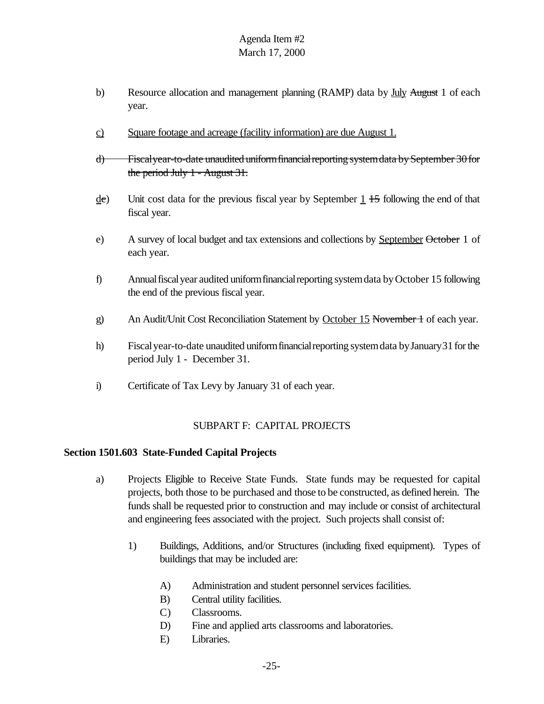- b) Resource allocation and management planning (RAMP) data by July August 1 of each year.
- c) Square footage and acreage (facility information) are due August 1.
- d) Fiscalyear-to-date unaudited uniformfinancialreporting systemdata bySeptember 30for the period July 1 - August 31.
- $\text{det}$  Unit cost data for the previous fiscal year by September 1 +5 following the end of that fiscal year.
- e) A survey of local budget and tax extensions and collections by September October 1 of each year.
- f) Annual fiscal year audited uniform financial reporting system data by October 15 following the end of the previous fiscal year.
- g) An Audit/Unit Cost Reconciliation Statement by October 15 November 1 of each year.
- h) Fiscal year-to-date unaudited uniform financial reporting system data by January 31 for the period July 1 - December 31.
- i) Certificate of Tax Levy by January 31 of each year.

### SUBPART F: CAPITAL PROJECTS

#### **Section 1501.603 State-Funded Capital Projects**

- a) Projects Eligible to Receive State Funds. State funds may be requested for capital projects, both those to be purchased and those to be constructed, as defined herein. The funds shall be requested prior to construction and may include or consist of architectural and engineering fees associated with the project. Such projects shall consist of:
	- 1) Buildings, Additions, and/or Structures (including fixed equipment). Types of buildings that may be included are:
		- A) Administration and student personnel services facilities.
		- B) Central utility facilities.
		- C) Classrooms.
		- D) Fine and applied arts classrooms and laboratories.
		- E) Libraries.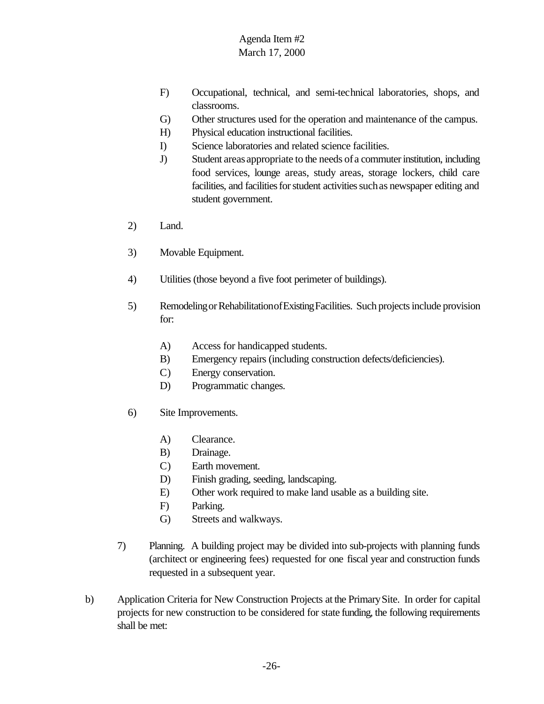- F) Occupational, technical, and semi-technical laboratories, shops, and classrooms.
- G) Other structures used for the operation and maintenance of the campus.
- H) Physical education instructional facilities.
- I) Science laboratories and related science facilities.
- J) Student areas appropriate to the needs of a commuterinstitution, including food services, lounge areas, study areas, storage lockers, child care facilities, and facilities for student activities such as newspaper editing and student government.
- 2) Land.
- 3) Movable Equipment.
- 4) Utilities (those beyond a five foot perimeter of buildings).
- 5) RemodelingorRehabilitationofExistingFacilities. Such projects include provision for:
	- A) Access for handicapped students.
	- B) Emergency repairs (including construction defects/deficiencies).
	- C) Energy conservation.
	- D) Programmatic changes.
- 6) Site Improvements.
	- A) Clearance.
	- B) Drainage.
	- C) Earth movement.
	- D) Finish grading, seeding, landscaping.
	- E) Other work required to make land usable as a building site.
	- F) Parking.
	- G) Streets and walkways.
- 7) Planning. A building project may be divided into sub-projects with planning funds (architect or engineering fees) requested for one fiscal year and construction funds requested in a subsequent year.
- b) Application Criteria for New Construction Projects at the PrimarySite. In order for capital projects for new construction to be considered for state funding, the following requirements shall be met: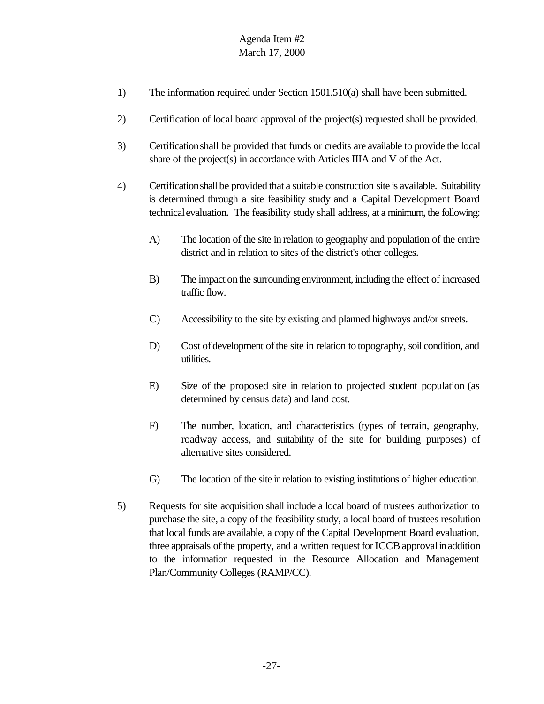- 1) The information required under Section 1501.510(a) shall have been submitted.
- 2) Certification of local board approval of the project(s) requested shall be provided.
- 3) Certificationshall be provided that funds or credits are available to provide the local share of the project(s) in accordance with Articles IIIA and V of the Act.
- 4) Certificationshall be provided that a suitable construction site is available. Suitability is determined through a site feasibility study and a Capital Development Board technicalevaluation. The feasibility study shall address, at a minimum, the following:
	- A) The location of the site in relation to geography and population of the entire district and in relation to sites of the district's other colleges.
	- B) The impact onthe surrounding environment, including the effect of increased traffic flow.
	- C) Accessibility to the site by existing and planned highways and/or streets.
	- D) Cost of development of the site in relation to topography, soil condition, and utilities.
	- E) Size of the proposed site in relation to projected student population (as determined by census data) and land cost.
	- F) The number, location, and characteristics (types of terrain, geography, roadway access, and suitability of the site for building purposes) of alternative sites considered.
	- G) The location of the site inrelation to existing institutions of higher education.
- 5) Requests for site acquisition shall include a local board of trustees authorization to purchase the site, a copy of the feasibility study, a local board of trustees resolution that local funds are available, a copy of the Capital Development Board evaluation, three appraisals of the property, and a written request for ICCB approval in addition to the information requested in the Resource Allocation and Management Plan/Community Colleges (RAMP/CC).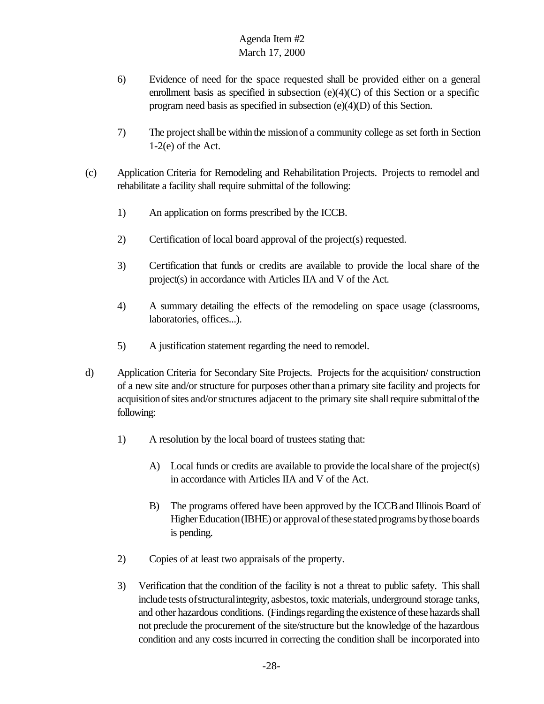- 6) Evidence of need for the space requested shall be provided either on a general enrollment basis as specified in subsection (e)(4)(C) of this Section or a specific program need basis as specified in subsection (e)(4)(D) of this Section.
- 7) The projectshall be within the missionof a community college as set forth in Section 1-2(e) of the Act.
- (c) Application Criteria for Remodeling and Rehabilitation Projects. Projects to remodel and rehabilitate a facility shall require submittal of the following:
	- 1) An application on forms prescribed by the ICCB.
	- 2) Certification of local board approval of the project(s) requested.
	- 3) Certification that funds or credits are available to provide the local share of the project(s) in accordance with Articles IIA and V of the Act.
	- 4) A summary detailing the effects of the remodeling on space usage (classrooms, laboratories, offices...).
	- 5) A justification statement regarding the need to remodel.
- d) Application Criteria for Secondary Site Projects. Projects for the acquisition/ construction of a new site and/or structure for purposes otherthana primary site facility and projects for acquisition of sites and/or structures adjacent to the primary site shall require submittal of the following:
	- 1) A resolution by the local board of trustees stating that:
		- A) Local funds or credits are available to provide the localshare of the project(s) in accordance with Articles IIA and V of the Act.
		- B) The programs offered have been approved by the ICCBand Illinois Board of Higher Education (IBHE) or approval of these stated programs by those boards is pending.
	- 2) Copies of at least two appraisals of the property.
	- 3) Verification that the condition of the facility is not a threat to public safety. This shall include tests ofstructuralintegrity, asbestos, toxic materials, underground storage tanks, and other hazardous conditions. (Findings regarding the existence of these hazards shall not preclude the procurement of the site/structure but the knowledge of the hazardous condition and any costs incurred in correcting the condition shall be incorporated into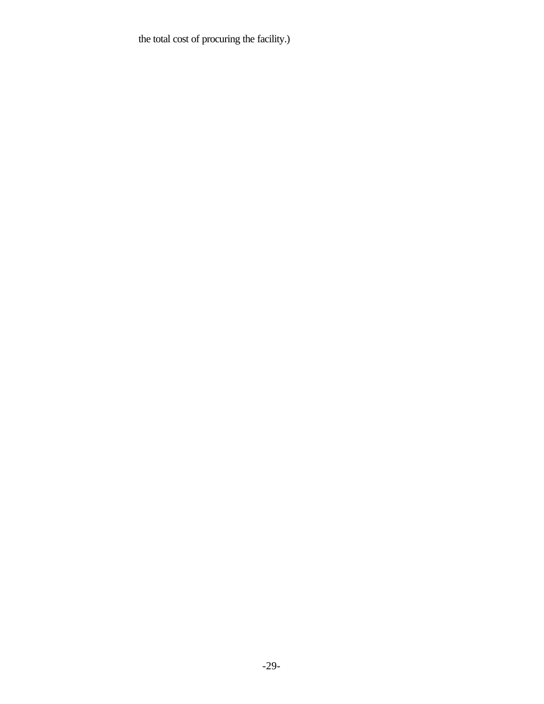the total cost of procuring the facility.)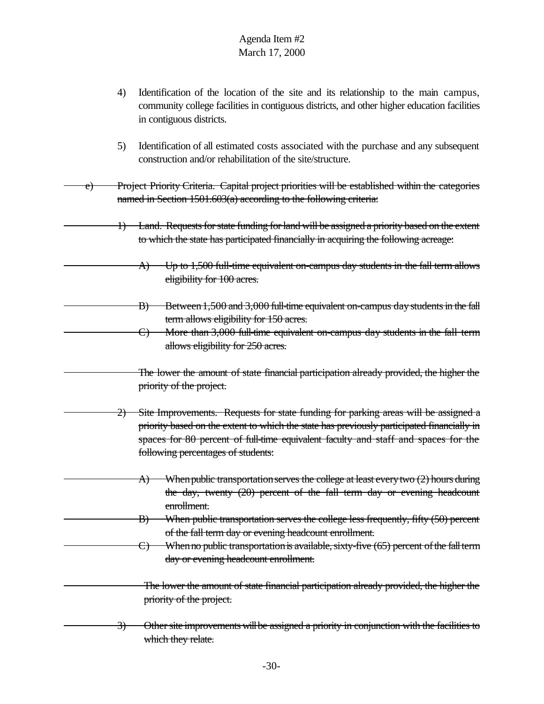- 4) Identification of the location of the site and its relationship to the main campus, community college facilities in contiguous districts, and other higher education facilities in contiguous districts.
- 5) Identification of all estimated costs associated with the purchase and any subsequent construction and/or rehabilitation of the site/structure.
- e) Project Priority Criteria. Capital project priorities will be established within the categories named in Section 1501.603(a) according to the following criteria:
	- 1) Land. Requests for state funding for land will be assigned a priority based on the extent to which the state has participated financially in acquiring the following acreage:
		- A) Up to 1,500 full-time equivalent on-campus day students in the fall term allows eligibility for 100 acres.
		- B) Between 1,500 and 3,000 full-time equivalent on-campus day students in the fall term allows eligibility for 150 acres.
		- C) More than 3,000 full-time equivalent on-campus day students in the fall term allows eligibility for 250 acres.
		- The lower the amount of state financial participation already provided, the higher the priority of the project.
	- 2) Site Improvements. Requests for state funding for parking areas will be assigned a priority based on the extent to which the state has previously participated financially in spaces for 80 percent of full-time equivalent faculty and staff and spaces for the following percentages of students:
		- A) When public transportation serves the college at least every two (2) hours during the day, twenty (20) percent of the fall term day or evening headcount enrollment.
		- B) When public transportation serves the college less frequently, fifty (50) percent of the fall term day or evening headcount enrollment.
			- $C$ ) When no public transportation is available, sixty-five  $(65)$  percent of the fall term day or evening headcount enrollment.
	- The lower the amount of state financial participation already provided, the higher the priority of the project.
	- 3) Other site improvements will be assigned a priority in conjunction with the facilities to which they relate.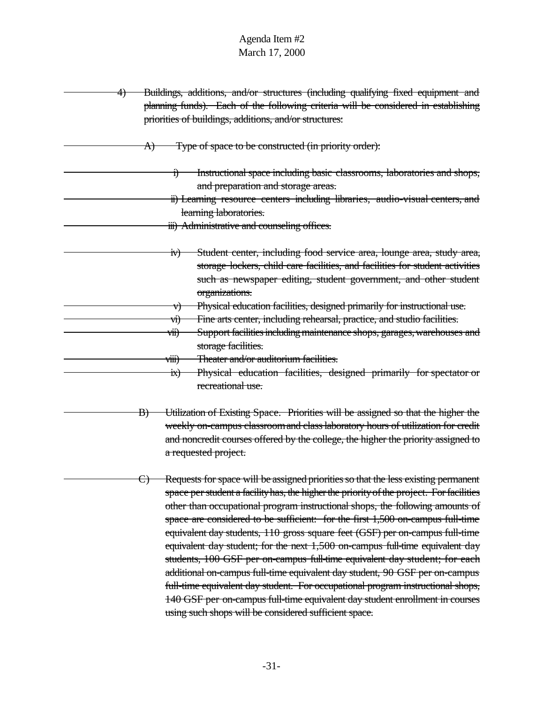| <del>4)</del> | Buildings, additions, and/or structures (including qualifying fixed equipment and<br>planning funds). Each of the following criteria will be considered in establishing<br>priorities of buildings, additions, and/or structures:                                                                                                                                                                                                                                                                                                                                                                                                                                                                                                                                                                                                                                                                           |
|---------------|-------------------------------------------------------------------------------------------------------------------------------------------------------------------------------------------------------------------------------------------------------------------------------------------------------------------------------------------------------------------------------------------------------------------------------------------------------------------------------------------------------------------------------------------------------------------------------------------------------------------------------------------------------------------------------------------------------------------------------------------------------------------------------------------------------------------------------------------------------------------------------------------------------------|
|               | Type of space to be constructed (in priority order):<br>A)                                                                                                                                                                                                                                                                                                                                                                                                                                                                                                                                                                                                                                                                                                                                                                                                                                                  |
|               | Instructional space including basic classrooms, laboratories and shops,<br>1)<br>and preparation and storage areas.<br>ii) Learning resource centers including libraries, audio-visual centers, and<br>learning laboratories.<br>iii) Administrative and counseling offices.                                                                                                                                                                                                                                                                                                                                                                                                                                                                                                                                                                                                                                |
|               | Student center, including food service area, lounge area, study area,<br>IV)<br>storage lockers, child care facilities, and facilities for student activities<br>such as newspaper editing, student government, and other student<br>organizations.                                                                                                                                                                                                                                                                                                                                                                                                                                                                                                                                                                                                                                                         |
|               | Physical education facilities, designed primarily for instructional use.<br>V)<br>Fine arts center, including rehearsal, practice, and studio facilities.<br>vi)<br>Support facilities including maintenance shops, garages, warehouses and<br>vii)<br>storage facilities.<br>viii)<br>Theater and/or auditorium facilities.                                                                                                                                                                                                                                                                                                                                                                                                                                                                                                                                                                                |
|               | Physical education facilities, designed primarily for spectator or<br>$\dot{\mathbf{m}}$<br>recreational use.                                                                                                                                                                                                                                                                                                                                                                                                                                                                                                                                                                                                                                                                                                                                                                                               |
|               | Utilization of Existing Space. Priorities will be assigned so that the higher the<br>$\vert B \rangle$<br>weekly on-campus classroom and class laboratory hours of utilization for credit<br>and noncredit courses offered by the college, the higher the priority assigned to<br>a requested project.                                                                                                                                                                                                                                                                                                                                                                                                                                                                                                                                                                                                      |
|               | Requests for space will be assigned priorities so that the less existing permanent<br>space per student a facility has, the higher the priority of the project. For facilities<br>other than occupational program instructional shops, the following amounts of<br>space are considered to be sufficient: for the first 1,500 on-campus full-time<br>equivalent day students, 110 gross square feet (GSF) per on-campus full-time<br>equivalent day student; for the next 1,500 on-campus full-time equivalent day<br>students, 100 GSF per on-campus full-time equivalent day student; for each<br>additional on-campus full-time equivalent day student, 90 GSF per on-campus<br>full-time equivalent day student. For occupational program instructional shops,<br>140 GSF per on-campus full-time equivalent day student enrollment in courses<br>using such shops will be considered sufficient space. |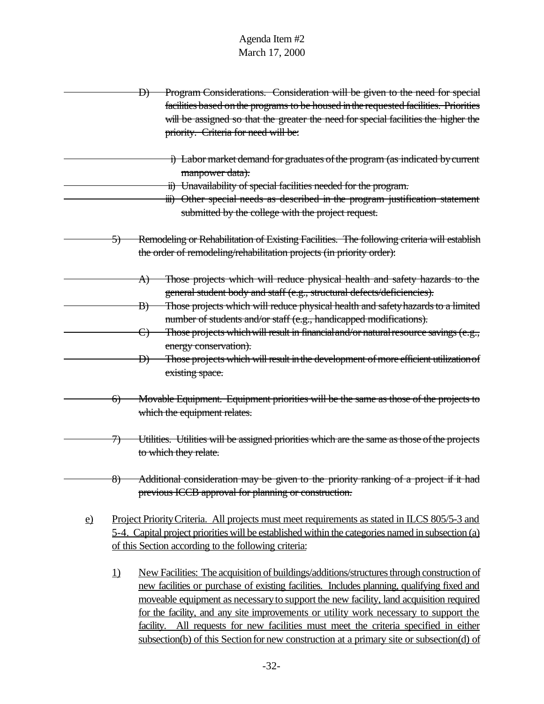D) Program Considerations. Consideration will be given to the need for special facilities based onthe programs to be housed inthe requested facilities. Priorities will be assigned so that the greater the need for special facilities the higher the priority. Criteria for need will be: i) Labor market demand for graduates of the program (as indicated by current manpower data). ii) Unavailability of special facilities needed for the program. iii) Other special needs as described in the program justification statement submitted by the college with the project request. 5) Remodeling or Rehabilitation of Existing Facilities. The following criteria will establish the order of remodeling/rehabilitation projects (in priority order): A) Those projects which will reduce physical health and safety hazards to the general student body and staff (e.g., structural defects/deficiencies). B) Those projects which will reduce physical health and safety hazards to a limited number of students and/or staff (e.g., handicapped modifications). C) Those projects which will result in financial and/or natural resource savings (e.g., energy conservation). D) Those projects which will result in the development of more efficient utilization of existing space. 6) Movable Equipment. Equipment priorities will be the same as those of the projects to which the equipment relates. 7) Utilities. Utilities will be assigned priorities which are the same as those of the projects to which they relate. 8) Additional consideration may be given to the priority ranking of a project if it had previous ICCB approval for planning or construction. e) Project PriorityCriteria. All projects must meet requirements as stated in ILCS 805/5-3 and 5-4. Capital project priorities will be established within the categories named in subsection (a) of this Section according to the following criteria: 1) New Facilities: The acquisition of buildings/additions/structures through construction of new facilities or purchase of existing facilities. Includes planning, qualifying fixed and moveable equipment as necessary to support the new facility, land acquisition required for the facility, and any site improvements or utility work necessary to support the facility. All requests for new facilities must meet the criteria specified in either subsection(b) of this Section for new construction at a primary site or subsection(d) of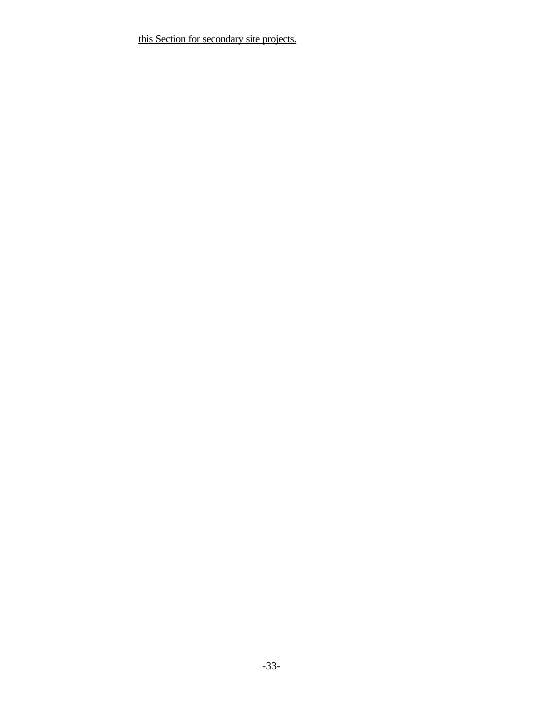this Section for secondary site projects.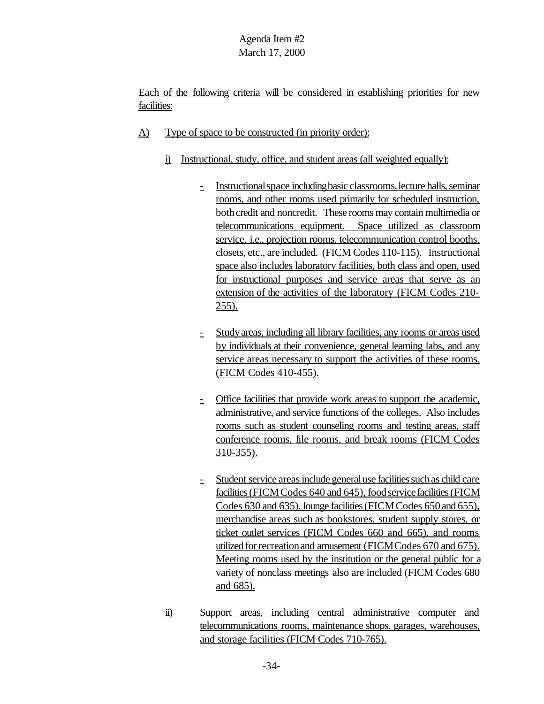Each of the following criteria will be considered in establishing priorities for new facilities:

- A) Type of space to be constructed (in priority order):
	- i) Instructional, study, office, and student areas (all weighted equally):
		- Instructional space including basic classrooms, lecture halls, seminar rooms, and other rooms used primarily for scheduled instruction, both credit and noncredit. These rooms may contain multimedia or telecommunications equipment. Space utilized as classroom service, i.e., projection rooms, telecommunication control booths, closets, etc., are included. (FICM Codes 110-115). Instructional space also includes laboratory facilities, both class and open, used for instructional purposes and service areas that serve as an extension of the activities of the laboratory (FICM Codes 210- 255).
		- Studyareas, including all library facilities, any rooms or areas used by individuals at their convenience, general learning labs, and any service areas necessary to support the activities of these rooms. (FICM Codes 410-455).
		- Office facilities that provide work areas to support the academic, administrative, and service functions of the colleges.Also includes rooms such as student counseling rooms and testing areas, staff conference rooms, file rooms, and break rooms (FICM Codes 310-355).
		- Student service areas include general use facilities such as child care facilities (FICM Codes 640 and 645), food service facilities (FICM Codes 630 and 635), lounge facilities (FICM Codes 650 and 655), merchandise areas such as bookstores, student supply stores, or ticket outlet services (FICM Codes 660 and 665), and rooms utilized for recreation and amusement (FICMCodes 670 and 675). Meeting rooms used by the institution or the general public for a variety of nonclass meetings also are included (FICM Codes 680 and 685).
	- ii) Support areas, including central administrative computer and telecommunications rooms, maintenance shops, garages, warehouses, and storage facilities (FICM Codes 710-765).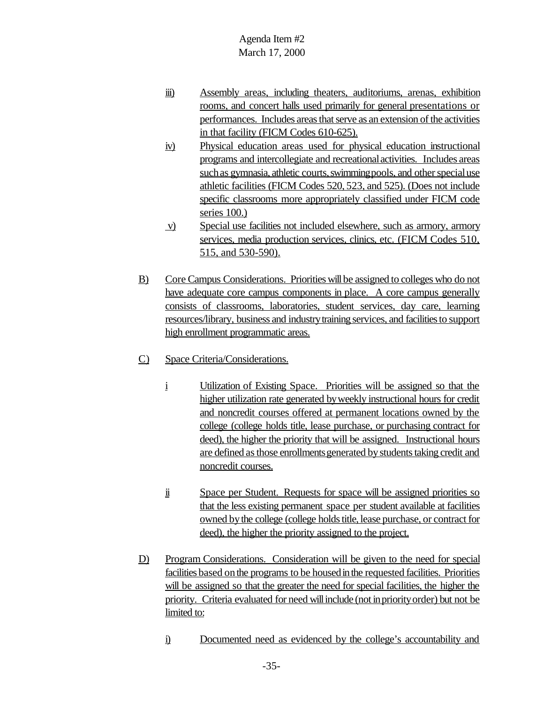- iii) Assembly areas, including theaters, auditoriums, arenas, exhibition rooms, and concert halls used primarily for general presentations or performances. Includes areas that serve as an extension of the activities in that facility (FICM Codes 610-625).
- iv) Physical education areas used for physical education instructional programs and intercollegiate and recreationalactivities. Includes areas such as gymnasia, athletic courts, swimming pools, and other special use athletic facilities (FICM Codes 520, 523, and 525). (Does not include specific classrooms more appropriately classified under FICM code series 100.)
- v) Special use facilities not included elsewhere, such as armory, armory services, media production services, clinics, etc. (FICM Codes 510, 515, and 530-590).
- B) Core Campus Considerations. Priorities will be assigned to colleges who do not have adequate core campus components in place. A core campus generally consists of classrooms, laboratories, student services, day care, learning resources/library, business and industrytraining services, and facilitiesto support high enrollment programmatic areas.
- C) Space Criteria/Considerations.
	- i Utilization of Existing Space. Priorities will be assigned so that the higher utilization rate generated byweekly instructional hours for credit and noncredit courses offered at permanent locations owned by the college (college holds title, lease purchase, or purchasing contract for deed), the higher the priority that will be assigned. Instructional hours are defined as those enrollments generated by students taking credit and noncredit courses.
	- ii Space per Student. Requests for space will be assigned priorities so that the less existing permanent space per student available at facilities owned by the college (college holds title, lease purchase, or contract for deed), the higher the priority assigned to the project.
- D) Program Considerations. Consideration will be given to the need for special facilities based on the programs to be housed in the requested facilities. Priorities will be assigned so that the greater the need for special facilities, the higher the priority. Criteria evaluated for need will include (not in priority order) but not be limited to:
	- i) Documented need as evidenced by the college's accountability and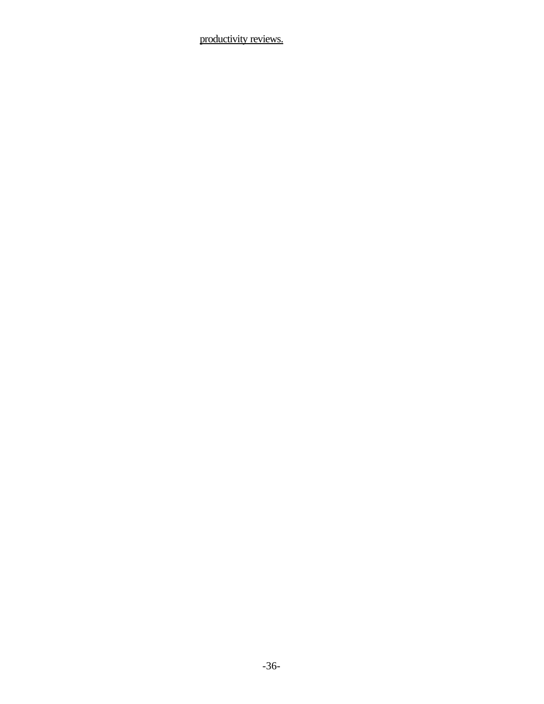productivity reviews.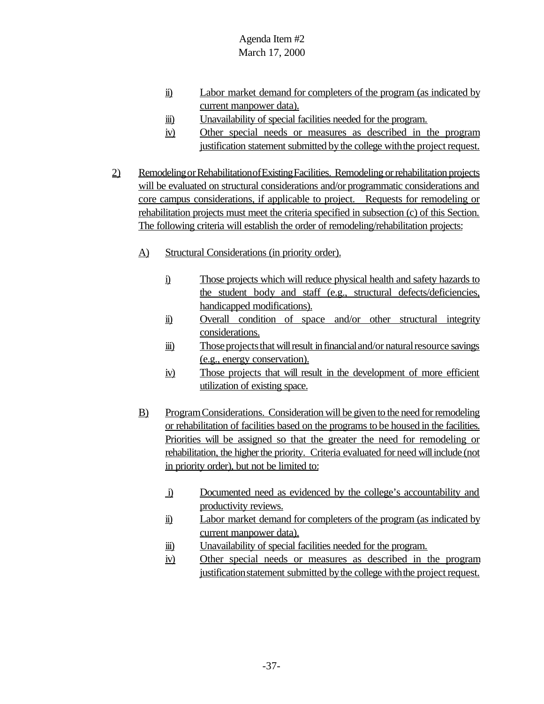- ii) Labor market demand for completers of the program (as indicated by current manpower data).
- iii) Unavailability of special facilities needed for the program.
- iv) Other special needs or measures as described in the program justification statement submitted by the college with the project request.
- 2) Remodeling or Rehabilitation of Existing Facilities. Remodeling or rehabilitation projects will be evaluated on structural considerations and/or programmatic considerations and core campus considerations, if applicable to project. Requests for remodeling or rehabilitation projects must meet the criteria specified in subsection (c) of this Section. The following criteria will establish the order of remodeling/rehabilitation projects:
	- A) Structural Considerations (in priority order).
		- i) Those projects which will reduce physical health and safety hazards to the student body and staff (e.g., structural defects/deficiencies, handicapped modifications).
		- ii) Overall condition of space and/or other structural integrity considerations.
		- iii) Those projects that will result in financial and/or natural resource savings (e.g., energy conservation).
		- iv) Those projects that will result in the development of more efficient utilization of existing space.
	- B) ProgramConsiderations. Consideration will be given to the need for remodeling or rehabilitation of facilities based on the programs to be housed in the facilities. Priorities will be assigned so that the greater the need for remodeling or rehabilitation, the higher the priority. Criteria evaluated for need will include (not in priority order), but not be limited to:
		- i) Documented need as evidenced by the college's accountability and productivity reviews.
		- ii) Labor market demand for completers of the program (as indicated by current manpower data).
		- iii) Unavailability of special facilities needed for the program.
		- iv) Other special needs or measures as described in the program justification statement submitted by the college with the project request.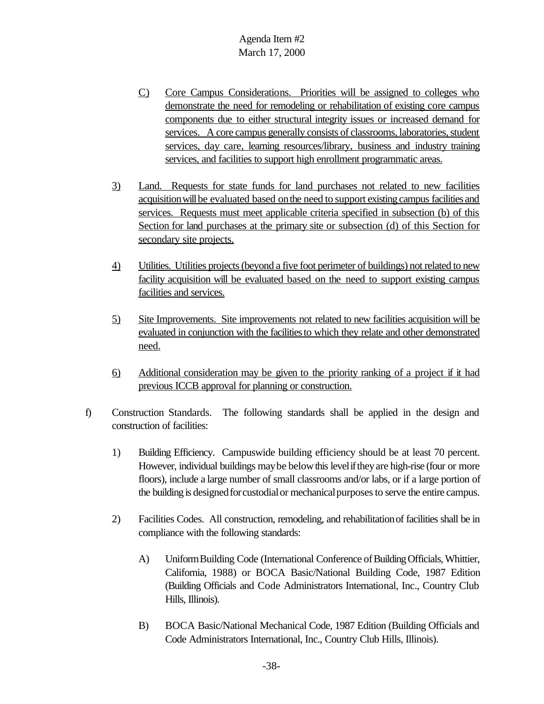- C) Core Campus Considerations. Priorities will be assigned to colleges who demonstrate the need for remodeling or rehabilitation of existing core campus components due to either structural integrity issues or increased demand for services. A core campus generally consists of classrooms, laboratories, student services, day care, learning resources/library, business and industry training services, and facilities to support high enrollment programmatic areas.
- 3) Land. Requests for state funds for land purchases not related to new facilities acquisition will be evaluated based on the need to support existing campus facilities and services. Requests must meet applicable criteria specified in subsection (b) of this Section for land purchases at the primary site or subsection (d) of this Section for secondary site projects.
- 4) Utilities. Utilities projects (beyond a five foot perimeter of buildings) not related to new facility acquisition will be evaluated based on the need to support existing campus facilities and services.
- 5) Site Improvements. Site improvements not related to new facilities acquisition will be evaluated in conjunction with the facilities to which they relate and other demonstrated need.
- 6) Additional consideration may be given to the priority ranking of a project if it had previous ICCB approval for planning or construction.
- f) Construction Standards. The following standards shall be applied in the design and construction of facilities:
	- 1) Building Efficiency. Campuswide building efficiency should be at least 70 percent. However, individual buildings may be below this level if they are high-rise (four or more floors), include a large number of small classrooms and/or labs, or if a large portion of the building is designed for custodial or mechanical purposes to serve the entire campus.
	- 2) Facilities Codes. All construction, remodeling, and rehabilitationof facilities shall be in compliance with the following standards:
		- A) Uniform Building Code (International Conference of Building Officials, Whittier, California, 1988) or BOCA Basic/National Building Code, 1987 Edition (Building Officials and Code Administrators International, Inc., Country Club Hills, Illinois).
		- B) BOCA Basic/National Mechanical Code, 1987 Edition (Building Officials and Code Administrators International, Inc., Country Club Hills, Illinois).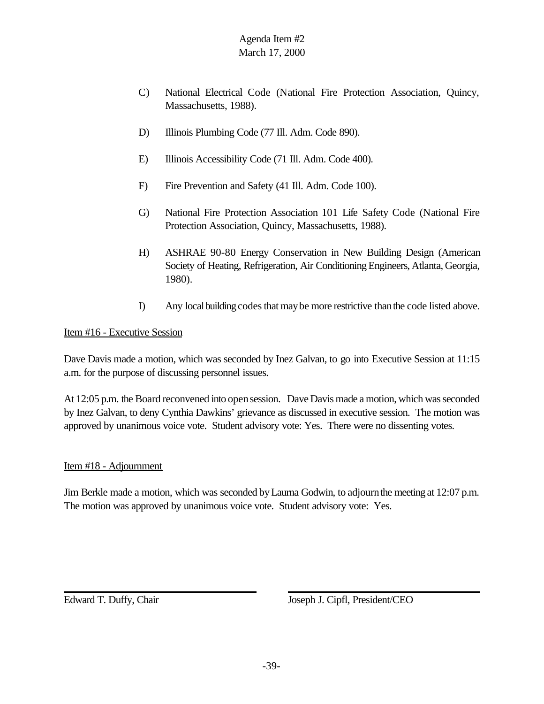- C) National Electrical Code (National Fire Protection Association, Quincy, Massachusetts, 1988).
- D) Illinois Plumbing Code (77 Ill. Adm. Code 890).
- E) Illinois Accessibility Code (71 Ill. Adm. Code 400).
- F) Fire Prevention and Safety (41 Ill. Adm. Code 100).
- G) National Fire Protection Association 101 Life Safety Code (National Fire Protection Association, Quincy, Massachusetts, 1988).
- H) ASHRAE 90-80 Energy Conservation in New Building Design (American Society of Heating, Refrigeration, Air Conditioning Engineers, Atlanta, Georgia, 1980).
- I) Any local building codes that may be more restrictive than the code listed above.

#### Item #16 - Executive Session

Dave Davis made a motion, which was seconded by Inez Galvan, to go into Executive Session at 11:15 a.m. for the purpose of discussing personnel issues.

At 12:05 p.m. the Board reconvened into open session. Dave Davis made a motion, which was seconded by Inez Galvan, to deny Cynthia Dawkins' grievance as discussed in executive session. The motion was approved by unanimous voice vote. Student advisory vote: Yes. There were no dissenting votes.

#### Item #18 - Adjournment

Jim Berkle made a motion, which was seconded byLaurna Godwin, to adjournthe meeting at 12:07 p.m. The motion was approved by unanimous voice vote. Student advisory vote: Yes.

Edward T. Duffy, Chair Joseph J. Cipfl, President/CEO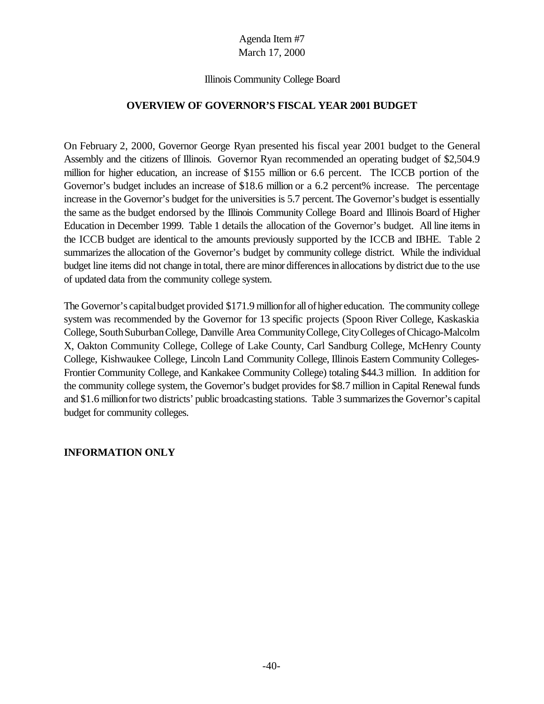#### Illinois Community College Board

### **OVERVIEW OF GOVERNOR'S FISCAL YEAR 2001 BUDGET**

On February 2, 2000, Governor George Ryan presented his fiscal year 2001 budget to the General Assembly and the citizens of Illinois. Governor Ryan recommended an operating budget of \$2,504.9 million for higher education, an increase of \$155 million or 6.6 percent. The ICCB portion of the Governor's budget includes an increase of \$18.6 million or a 6.2 percent% increase. The percentage increase in the Governor's budget for the universities is 5.7 percent. The Governor's budget is essentially the same as the budget endorsed by the Illinois Community College Board and Illinois Board of Higher Education in December 1999. Table 1 details the allocation of the Governor's budget. All line items in the ICCB budget are identical to the amounts previously supported by the ICCB and IBHE. Table 2 summarizes the allocation of the Governor's budget by community college district. While the individual budget line items did not change in total, there are minor differencesinallocations bydistrict due to the use of updated data from the community college system.

The Governor's capital budget provided \$171.9 million for all of higher education. The community college system was recommended by the Governor for 13 specific projects (Spoon River College, Kaskaskia College, South Suburban College, Danville Area Community College, City Colleges of Chicago-Malcolm X, Oakton Community College, College of Lake County, Carl Sandburg College, McHenry County College, Kishwaukee College, Lincoln Land Community College, Illinois Eastern Community Colleges-Frontier Community College, and Kankakee Community College) totaling \$44.3 million. In addition for the community college system, the Governor's budget provides for \$8.7 million in Capital Renewal funds and \$1.6 million for two districts' public broadcasting stations. Table 3 summarizes the Governor's capital budget for community colleges.

### **INFORMATION ONLY**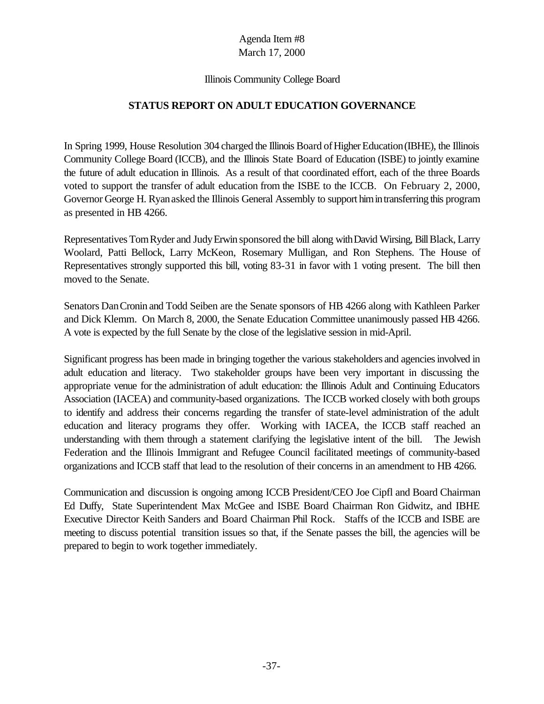#### Illinois Community College Board

### **STATUS REPORT ON ADULT EDUCATION GOVERNANCE**

In Spring 1999, House Resolution 304 charged the Illinois Board of Higher Education (IBHE), the Illinois Community College Board (ICCB), and the Illinois State Board of Education (ISBE) to jointly examine the future of adult education in Illinois. As a result of that coordinated effort, each of the three Boards voted to support the transfer of adult education from the ISBE to the ICCB. On February 2, 2000, Governor George H. Ryan asked the Illinois General Assembly to support him in transferring this program as presented in HB 4266.

Representatives Tom Ryder and Judy Erwin sponsored the bill along with David Wirsing, Bill Black, Larry Woolard, Patti Bellock, Larry McKeon, Rosemary Mulligan, and Ron Stephens. The House of Representatives strongly supported this bill, voting 83-31 in favor with 1 voting present. The bill then moved to the Senate.

Senators DanCronin and Todd Seiben are the Senate sponsors of HB 4266 along with Kathleen Parker and Dick Klemm. On March 8, 2000, the Senate Education Committee unanimously passed HB 4266. A vote is expected by the full Senate by the close of the legislative session in mid-April.

Significant progress has been made in bringing together the various stakeholders and agenciesinvolved in adult education and literacy. Two stakeholder groups have been very important in discussing the appropriate venue for the administration of adult education: the Illinois Adult and Continuing Educators Association (IACEA) and community-based organizations. The ICCB worked closely with both groups to identify and address their concerns regarding the transfer of state-level administration of the adult education and literacy programs they offer. Working with IACEA, the ICCB staff reached an understanding with them through a statement clarifying the legislative intent of the bill. The Jewish Federation and the Illinois Immigrant and Refugee Council facilitated meetings of community-based organizations and ICCB staff that lead to the resolution of their concerns in an amendment to HB 4266.

Communication and discussion is ongoing among ICCB President/CEO Joe Cipfl and Board Chairman Ed Duffy, State Superintendent Max McGee and ISBE Board Chairman Ron Gidwitz, and IBHE Executive Director Keith Sanders and Board Chairman Phil Rock. Staffs of the ICCB and ISBE are meeting to discuss potential transition issues so that, if the Senate passes the bill, the agencies will be prepared to begin to work together immediately.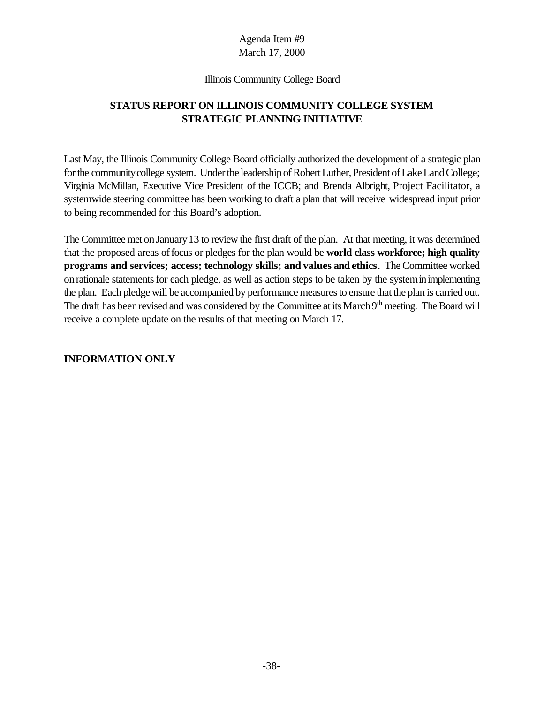#### Illinois Community College Board

# **STATUS REPORT ON ILLINOIS COMMUNITY COLLEGE SYSTEM STRATEGIC PLANNING INITIATIVE**

Last May, the Illinois Community College Board officially authorized the development of a strategic plan for the community college system. Under the leadership of Robert Luther, President of Lake Land College; Virginia McMillan, Executive Vice President of the ICCB; and Brenda Albright, Project Facilitator, a systemwide steering committee has been working to draft a plan that will receive widespread input prior to being recommended for this Board's adoption.

The Committee met on January 13 to review the first draft of the plan. At that meeting, it was determined that the proposed areas offocus or pledges for the plan would be **world class workforce; high quality programs and services; access; technology skills; and values and ethics**. The Committee worked on rationale statements for each pledge, as well as action steps to be taken by the system in implementing the plan. Each pledge will be accompanied by performance measures to ensure that the plan is carried out. The draft has been revised and was considered by the Committee at its March 9<sup>th</sup> meeting. The Board will receive a complete update on the results of that meeting on March 17.

### **INFORMATION ONLY**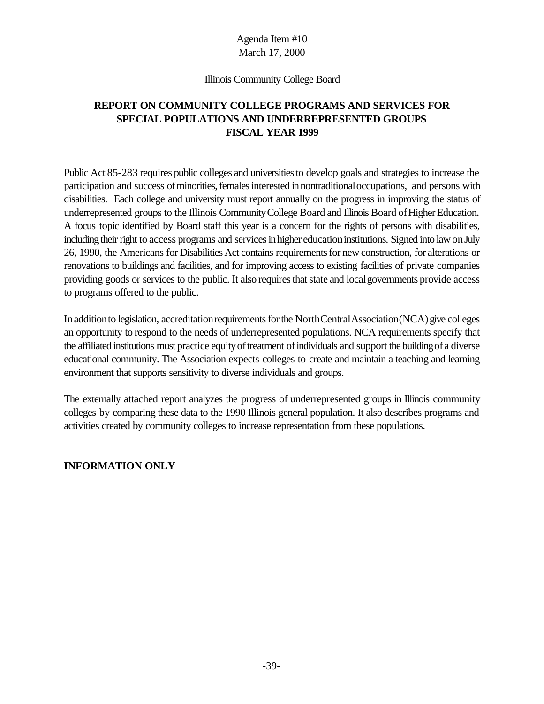#### Illinois Community College Board

## **REPORT ON COMMUNITY COLLEGE PROGRAMS AND SERVICES FOR SPECIAL POPULATIONS AND UNDERREPRESENTED GROUPS FISCAL YEAR 1999**

Public Act 85-283 requires public colleges and universitiesto develop goals and strategies to increase the participation and success of minorities, females interested in nontraditional occupations, and persons with disabilities. Each college and university must report annually on the progress in improving the status of underrepresented groups to the Illinois Community College Board and Illinois Board of Higher Education. A focus topic identified by Board staff this year is a concern for the rights of persons with disabilities, including their right to access programs and services in higher education institutions. Signed into law on July 26, 1990, the Americans for Disabilities Act contains requirements for new construction, for alterations or renovations to buildings and facilities, and for improving access to existing facilities of private companies providing goods or services to the public. It also requires that state and local governments provide access to programs offered to the public.

In addition to legislation, accreditation requirements for the North Central Association (NCA) give colleges an opportunity to respond to the needs of underrepresented populations. NCA requirements specify that the affiliated institutions must practice equity of treatment of individuals and support the building of a diverse educational community. The Association expects colleges to create and maintain a teaching and learning environment that supports sensitivity to diverse individuals and groups.

The externally attached report analyzes the progress of underrepresented groups in Illinois community colleges by comparing these data to the 1990 Illinois general population. It also describes programs and activities created by community colleges to increase representation from these populations.

### **INFORMATION ONLY**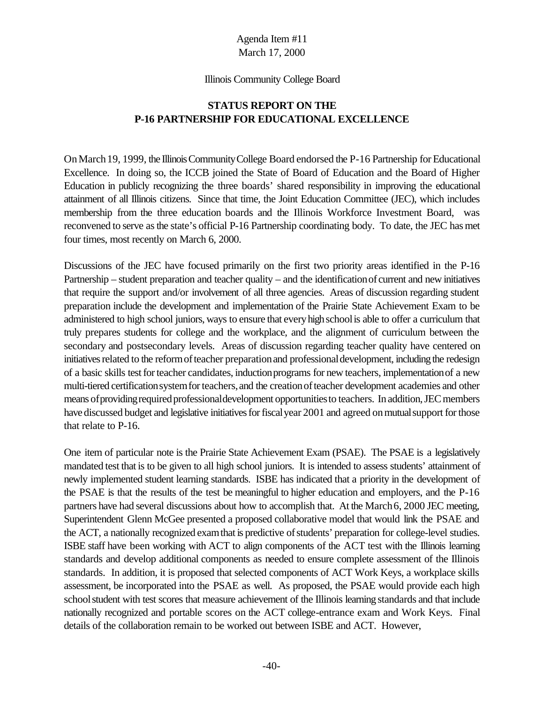#### Illinois Community College Board

## **STATUS REPORT ON THE P-16 PARTNERSHIP FOR EDUCATIONAL EXCELLENCE**

OnMarch19, 1999, the IllinoisCommunityCollege Board endorsed the P-16 Partnership for Educational Excellence. In doing so, the ICCB joined the State of Board of Education and the Board of Higher Education in publicly recognizing the three boards' shared responsibility in improving the educational attainment of all Illinois citizens. Since that time, the Joint Education Committee (JEC), which includes membership from the three education boards and the Illinois Workforce Investment Board, was reconvened to serve as the state's official P-16 Partnership coordinating body. To date, the JEC has met four times, most recently on March 6, 2000.

Discussions of the JEC have focused primarily on the first two priority areas identified in the P-16 Partnership – student preparation and teacher quality – and the identificationof current and new initiatives that require the support and/or involvement of all three agencies. Areas of discussion regarding student preparation include the development and implementation of the Prairie State Achievement Exam to be administered to high school juniors, ways to ensure that every high school is able to offer a curriculum that truly prepares students for college and the workplace, and the alignment of curriculum between the secondary and postsecondary levels. Areas of discussion regarding teacher quality have centered on initiatives related to the reform of teacher preparation and professional development, including the redesign of a basic skills test for teacher candidates, induction programs for new teachers, implementation of a new multi-tiered certification system for teachers, and the creation of teacher development academies and other means of providing required professional development opportunities to teachers. In addition, JEC members have discussed budget and legislative initiatives for fiscal year 2001 and agreed on mutual support for those that relate to P-16.

One item of particular note is the Prairie State Achievement Exam (PSAE). The PSAE is a legislatively mandated test that is to be given to all high school juniors. It is intended to assess students' attainment of newly implemented student learning standards. ISBE has indicated that a priority in the development of the PSAE is that the results of the test be meaningful to higher education and employers, and the P-16 partners have had several discussions about how to accomplish that. At the March6, 2000 JEC meeting, Superintendent Glenn McGee presented a proposed collaborative model that would link the PSAE and the ACT, a nationally recognized examthat is predictive of students' preparation for college-level studies. ISBE staff have been working with ACT to align components of the ACT test with the Illinois learning standards and develop additional components as needed to ensure complete assessment of the Illinois standards. In addition, it is proposed that selected components of ACT Work Keys, a workplace skills assessment, be incorporated into the PSAE as well. As proposed, the PSAE would provide each high school student with test scores that measure achievement of the Illinois learning standards and that include nationally recognized and portable scores on the ACT college-entrance exam and Work Keys. Final details of the collaboration remain to be worked out between ISBE and ACT. However,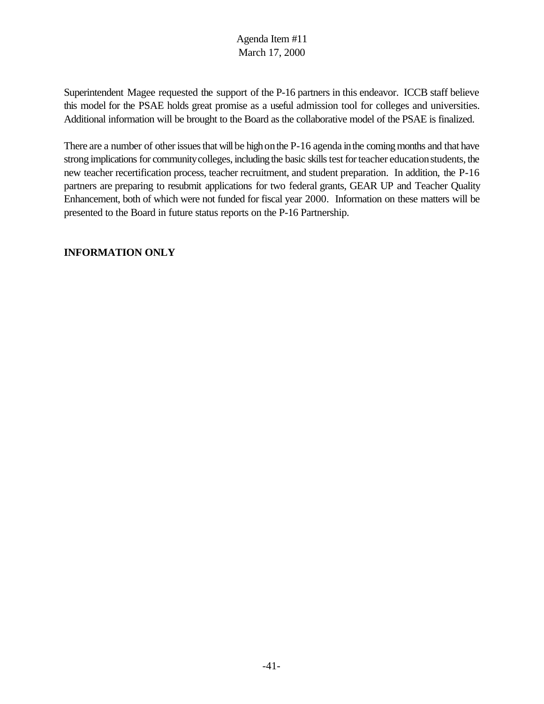Superintendent Magee requested the support of the P-16 partners in this endeavor. ICCB staff believe this model for the PSAE holds great promise as a useful admission tool for colleges and universities. Additional information will be brought to the Board as the collaborative model of the PSAE is finalized.

There are a number of other issues that will be high on the P-16 agenda in the coming months and that have strong implications for community colleges, including the basic skills test for teacher education students, the new teacher recertification process, teacher recruitment, and student preparation. In addition, the P-16 partners are preparing to resubmit applications for two federal grants, GEAR UP and Teacher Quality Enhancement, both of which were not funded for fiscal year 2000. Information on these matters will be presented to the Board in future status reports on the P-16 Partnership.

### **INFORMATION ONLY**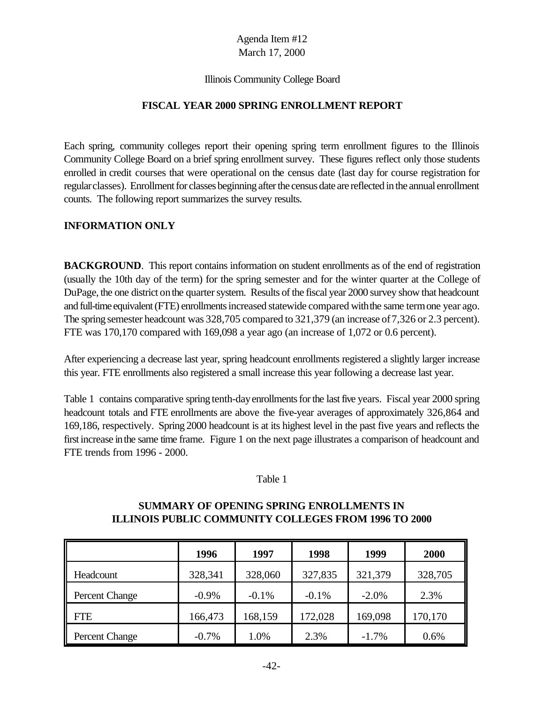#### Illinois Community College Board

### **FISCAL YEAR 2000 SPRING ENROLLMENT REPORT**

Each spring, community colleges report their opening spring term enrollment figures to the Illinois Community College Board on a brief spring enrollment survey. These figures reflect only those students enrolled in credit courses that were operational on the census date (last day for course registration for regularclasses). Enrollment for classes beginning after the census date are reflected in the annual enrollment counts. The following report summarizes the survey results.

### **INFORMATION ONLY**

**BACKGROUND.** This report contains information on student enrollments as of the end of registration (usually the 10th day of the term) for the spring semester and for the winter quarter at the College of DuPage, the one district on the quarter system. Results of the fiscal year 2000 survey show that headcount and full-time equivalent(FTE) enrollmentsincreased statewide compared withthe same termone year ago. The spring semester headcount was 328,705 compared to 321,379 (an increase of7,326 or 2.3 percent). FTE was 170,170 compared with 169,098 a year ago (an increase of 1,072 or 0.6 percent).

After experiencing a decrease last year, spring headcount enrollments registered a slightly larger increase this year. FTE enrollments also registered a small increase this year following a decrease last year.

Table 1 contains comparative spring tenth-day enrollments for the last five years. Fiscal year 2000 spring headcount totals and FTE enrollments are above the five-year averages of approximately 326,864 and 169,186, respectively. Spring 2000 headcount is at its highest level in the past five years and reflects the first increase inthe same time frame. Figure 1 on the next page illustrates a comparison of headcount and FTE trends from 1996 - 2000.

#### Table 1

### **SUMMARY OF OPENING SPRING ENROLLMENTS IN ILLINOIS PUBLIC COMMUNITY COLLEGES FROM 1996 TO 2000**

|                       | 1996     | 1997    | 1998    | 1999     | 2000    |
|-----------------------|----------|---------|---------|----------|---------|
| Headcount             | 328,341  | 328,060 | 327,835 | 321,379  | 328,705 |
| Percent Change        | $-0.9\%$ | $-0.1%$ | $-0.1%$ | $-2.0\%$ | 2.3%    |
| <b>FTE</b>            | 166,473  | 168,159 | 172,028 | 169,098  | 170,170 |
| <b>Percent Change</b> | $-0.7%$  | 1.0%    | 2.3%    | $-1.7%$  | 0.6%    |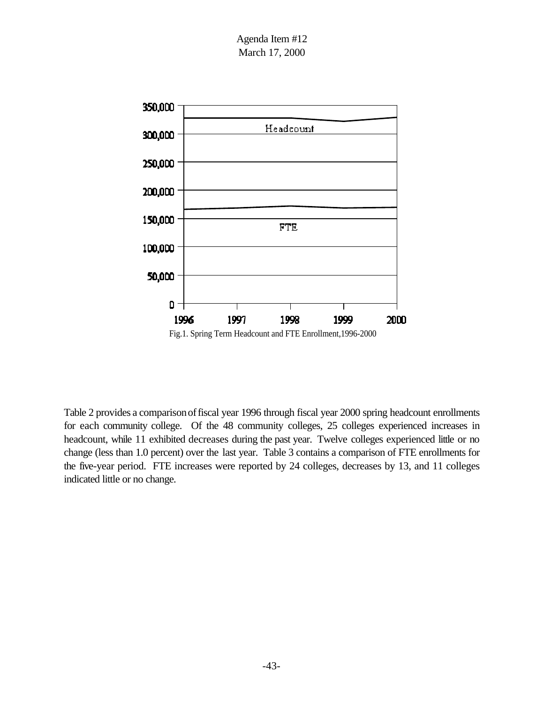Agenda Item #12 March 17, 2000



Table 2 provides a comparisonoffiscal year 1996 through fiscal year 2000 spring headcount enrollments for each community college. Of the 48 community colleges, 25 colleges experienced increases in headcount, while 11 exhibited decreases during the past year. Twelve colleges experienced little or no change (less than 1.0 percent) over the last year. Table 3 contains a comparison of FTE enrollments for the five-year period. FTE increases were reported by 24 colleges, decreases by 13, and 11 colleges indicated little or no change.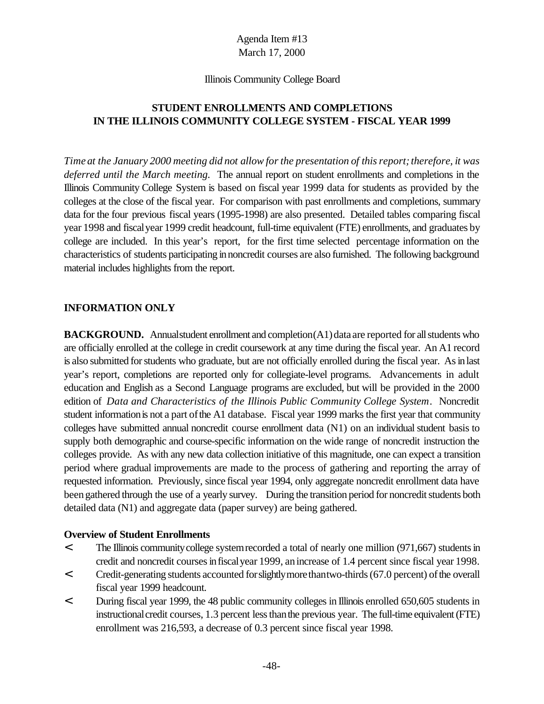#### Illinois Community College Board

### **STUDENT ENROLLMENTS AND COMPLETIONS IN THE ILLINOIS COMMUNITY COLLEGE SYSTEM - FISCAL YEAR 1999**

*Time at the January 2000 meeting did not allow forthe presentation of thisreport;therefore, it was deferred until the March meeting.* The annual report on student enrollments and completions in the Illinois Community College System is based on fiscal year 1999 data for students as provided by the colleges at the close of the fiscal year. For comparison with past enrollments and completions, summary data for the four previous fiscal years (1995-1998) are also presented. Detailed tables comparing fiscal year 1998 and fiscalyear 1999 credit headcount, full-time equivalent (FTE) enrollments, and graduates by college are included. In this year's report, for the first time selected percentage information on the characteristics of students participating innoncredit courses are also furnished. The following background material includes highlights from the report.

#### **INFORMATION ONLY**

**BACKGROUND.** Annual student enrollment and completion(A1) data are reported for all students who are officially enrolled at the college in credit coursework at any time during the fiscal year. An A1 record is also submitted for students who graduate, but are not officially enrolled during the fiscal year. As in last year's report, completions are reported only for collegiate-level programs. Advancements in adult education and English as a Second Language programs are excluded, but will be provided in the 2000 edition of *Data and Characteristics of the Illinois Public Community College System*. Noncredit student information is not a part of the A1 database. Fiscal year 1999 marks the first year that community colleges have submitted annual noncredit course enrollment data (N1) on an individual student basis to supply both demographic and course-specific information on the wide range of noncredit instruction the colleges provide. As with any new data collection initiative of this magnitude, one can expect a transition period where gradual improvements are made to the process of gathering and reporting the array of requested information. Previously, since fiscal year 1994, only aggregate noncredit enrollment data have been gathered through the use of a yearly survey. During the transition period for noncredit students both detailed data (N1) and aggregate data (paper survey) are being gathered.

#### **Overview of Student Enrollments**

- < The Illinois communitycollege systemrecorded a total of nearly one million (971,667) studentsin credit and noncredit courses in fiscal year 1999, an increase of 1.4 percent since fiscal year 1998.
- < Credit-generating students accounted forslightlymorethantwo-thirds(67.0 percent) ofthe overall fiscal year 1999 headcount.
- < During fiscal year 1999, the 48 public community colleges in Illinois enrolled 650,605 students in instructional credit courses, 1.3 percent less than the previous year. The full-time equivalent (FTE) enrollment was 216,593, a decrease of 0.3 percent since fiscal year 1998.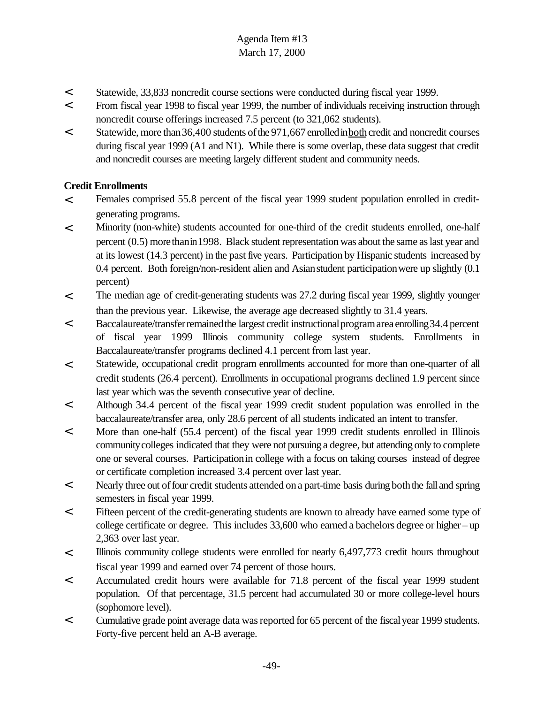- < Statewide, 33,833 noncredit course sections were conducted during fiscal year 1999.
- < From fiscal year 1998 to fiscal year 1999, the number of individuals receiving instruction through noncredit course offerings increased 7.5 percent (to 321,062 students).
- < Statewide, more than36,400 students ofthe 971,667enrolledinbothcredit and noncredit courses during fiscal year 1999 (A1 and N1). While there is some overlap, these data suggest that credit and noncredit courses are meeting largely different student and community needs.

### **Credit Enrollments**

- < Females comprised 55.8 percent of the fiscal year 1999 student population enrolled in creditgenerating programs.
- < Minority (non-white) students accounted for one-third of the credit students enrolled, one-half percent (0.5) more than in 1998. Black student representation was about the same as last year and at its lowest (14.3 percent) in the past five years. Participation by Hispanic students increased by 0.4 percent. Both foreign/non-resident alien and Asian student participation were up slightly  $(0.1)$ percent)
- < The median age of credit-generating students was 27.2 during fiscal year 1999, slightly younger than the previous year. Likewise, the average age decreased slightly to 31.4 years.
- < Baccalaureate/transferremainedthe largest credit instructionalprogramarea enrolling34.4percent of fiscal year 1999 Illinois community college system students. Enrollments in Baccalaureate/transfer programs declined 4.1 percent from last year.
- < Statewide, occupational credit program enrollments accounted for more than one-quarter of all credit students (26.4 percent). Enrollments in occupational programs declined 1.9 percent since last year which was the seventh consecutive year of decline.
- < Although 34.4 percent of the fiscal year 1999 credit student population was enrolled in the baccalaureate/transfer area, only 28.6 percent of all students indicated an intent to transfer.
- < More than one-half (55.4 percent) of the fiscal year 1999 credit students enrolled in Illinois communitycolleges indicated that they were not pursuing a degree, but attending only to complete one or several courses. Participationin college with a focus on taking courses instead of degree or certificate completion increased 3.4 percent over last year.
- < Nearly three out offour credit students attended ona part-time basis during boththe fall and spring semesters in fiscal year 1999.
- < Fifteen percent of the credit-generating students are known to already have earned some type of college certificate or degree. This includes 33,600 who earned a bachelors degree or higher – up 2,363 over last year.
- < Illinois community college students were enrolled for nearly 6,497,773 credit hours throughout fiscal year 1999 and earned over 74 percent of those hours.
- < Accumulated credit hours were available for 71.8 percent of the fiscal year 1999 student population. Of that percentage, 31.5 percent had accumulated 30 or more college-level hours (sophomore level).
- < Cumulative grade point average data wasreported for 65 percent of the fiscalyear 1999 students. Forty-five percent held an A-B average.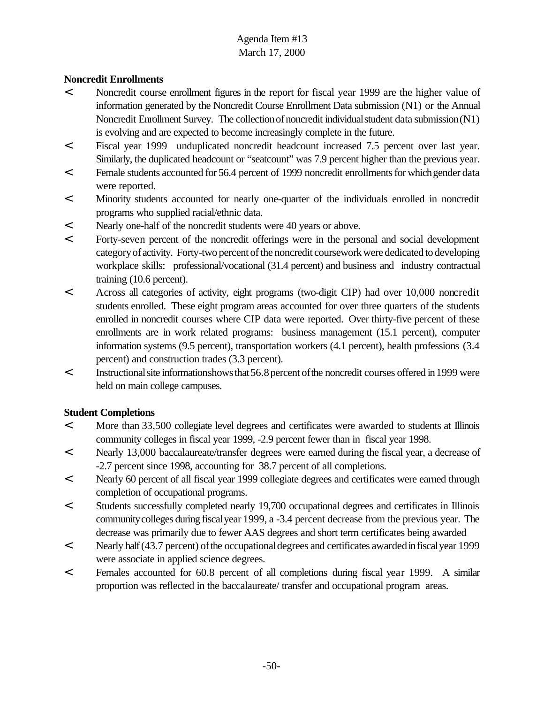### **Noncredit Enrollments**

- < Noncredit course enrollment figures in the report for fiscal year 1999 are the higher value of information generated by the Noncredit Course Enrollment Data submission (N1) or the Annual Noncredit Enrollment Survey. The collection of noncredit individual student data submission (N1) is evolving and are expected to become increasingly complete in the future.
- < Fiscal year 1999 unduplicated noncredit headcount increased 7.5 percent over last year. Similarly, the duplicated headcount or "seatcount" was 7.9 percent higher than the previous year.
- < Female students accounted for 56.4 percent of 1999 noncredit enrollmentsfor whichgender data were reported.
- < Minority students accounted for nearly one-quarter of the individuals enrolled in noncredit programs who supplied racial/ethnic data.
- < Nearly one-half of the noncredit students were 40 years or above.
- < Forty-seven percent of the noncredit offerings were in the personal and social development categoryof activity. Forty-two percent of the noncredit coursework were dedicated to developing workplace skills: professional/vocational (31.4 percent) and business and industry contractual training (10.6 percent).
- < Across all categories of activity, eight programs (two-digit CIP) had over 10,000 noncredit students enrolled. These eight program areas accounted for over three quarters of the students enrolled in noncredit courses where CIP data were reported. Over thirty-five percent of these enrollments are in work related programs: business management (15.1 percent), computer information systems (9.5 percent), transportation workers (4.1 percent), health professions (3.4 percent) and construction trades (3.3 percent).
- < Instructionalsite informationshowsthat56.8percent ofthe noncredit courses offered in1999 were held on main college campuses.

### **Student Completions**

- < More than 33,500 collegiate level degrees and certificates were awarded to students at Illinois community colleges in fiscal year 1999, -2.9 percent fewer than in fiscal year 1998.
- < Nearly 13,000 baccalaureate/transfer degrees were earned during the fiscal year, a decrease of -2.7 percent since 1998, accounting for 38.7 percent of all completions.
- < Nearly 60 percent of all fiscal year 1999 collegiate degrees and certificates were earned through completion of occupational programs.
- < Students successfully completed nearly 19,700 occupational degrees and certificates in Illinois communitycolleges during fiscalyear 1999, a -3.4 percent decrease from the previous year. The decrease was primarily due to fewer AAS degrees and short term certificates being awarded
- < Nearly half(43.7 percent) ofthe occupationaldegrees and certificates awardedinfiscalyear 1999 were associate in applied science degrees.
- < Females accounted for 60.8 percent of all completions during fiscal year 1999. A similar proportion was reflected in the baccalaureate/ transfer and occupational program areas.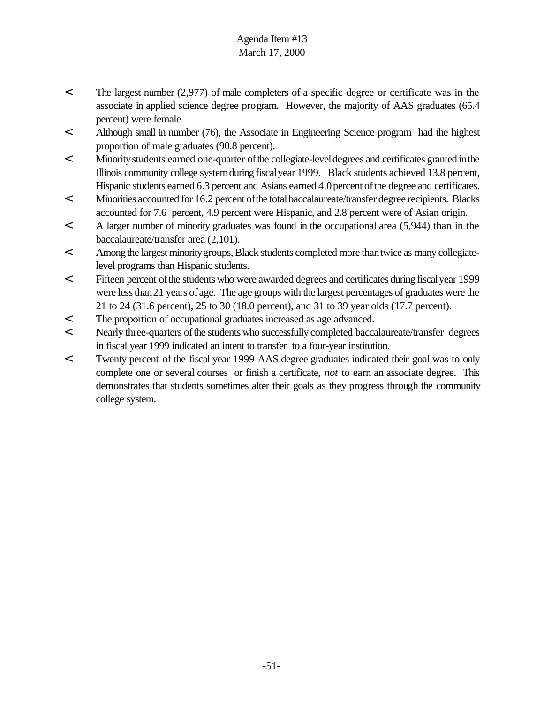- < The largest number (2,977) of male completers of a specific degree or certificate was in the associate in applied science degree program. However, the majority of AAS graduates (65.4 percent) were female.
- < Although small in number (76), the Associate in Engineering Science program had the highest proportion of male graduates (90.8 percent).
- < Minoritystudents earned one-quarter ofthe collegiate-leveldegrees and certificates granted inthe Illinois community college systemduring fiscalyear 1999. Black students achieved 13.8 percent, Hispanic students earned 6.3 percent and Asians earned 4.0 percent of the degree and certificates.
- < Minorities accounted for 16.2 percent ofthe totalbaccalaureate/transfer degree recipients. Blacks accounted for 7.6 percent, 4.9 percent were Hispanic, and 2.8 percent were of Asian origin.
- < A larger number of minority graduates was found in the occupational area (5,944) than in the baccalaureate/transfer area (2,101).
- < Among the largest minority groups, Black students completed more than twice as many collegiatelevel programs than Hispanic students.
- < Fifteen percent ofthe students who were awarded degrees and certificates during fiscalyear 1999 were less than 21 years of age. The age groups with the largest percentages of graduates were the 21 to 24 (31.6 percent), 25 to 30 (18.0 percent), and 31 to 39 year olds (17.7 percent).
- < The proportion of occupational graduates increased as age advanced.
- < Nearly three-quarters of the students who successfully completed baccalaureate/transfer degrees in fiscal year 1999 indicated an intent to transfer to a four-year institution.
- < Twenty percent of the fiscal year 1999 AAS degree graduates indicated their goal was to only complete one or several courses or finish a certificate, *not* to earn an associate degree. This demonstrates that students sometimes alter their goals as they progress through the community college system.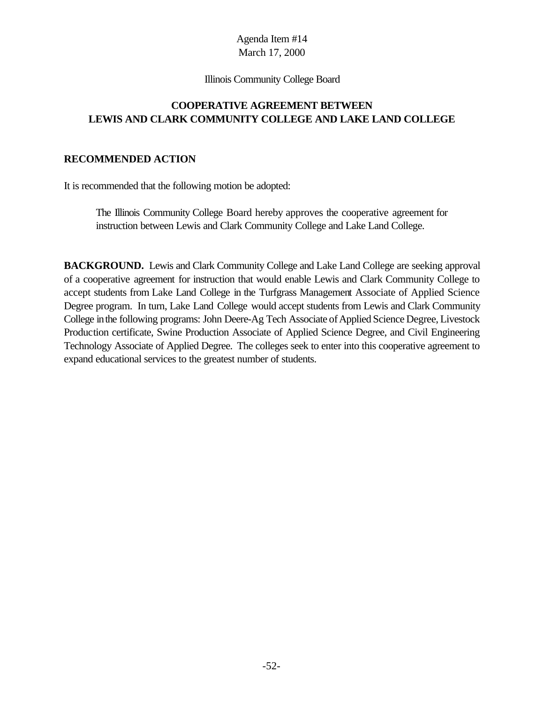#### Illinois Community College Board

### **COOPERATIVE AGREEMENT BETWEEN LEWIS AND CLARK COMMUNITY COLLEGE AND LAKE LAND COLLEGE**

### **RECOMMENDED ACTION**

It is recommended that the following motion be adopted:

The Illinois Community College Board hereby approves the cooperative agreement for instruction between Lewis and Clark Community College and Lake Land College.

**BACKGROUND.** Lewis and Clark Community College and Lake Land College are seeking approval of a cooperative agreement for instruction that would enable Lewis and Clark Community College to accept students from Lake Land College in the Turfgrass Management Associate of Applied Science Degree program. In turn, Lake Land College would accept students from Lewis and Clark Community College in the following programs: John Deere-Ag Tech Associate of Applied Science Degree, Livestock Production certificate, Swine Production Associate of Applied Science Degree, and Civil Engineering Technology Associate of Applied Degree. The colleges seek to enter into this cooperative agreement to expand educational services to the greatest number of students.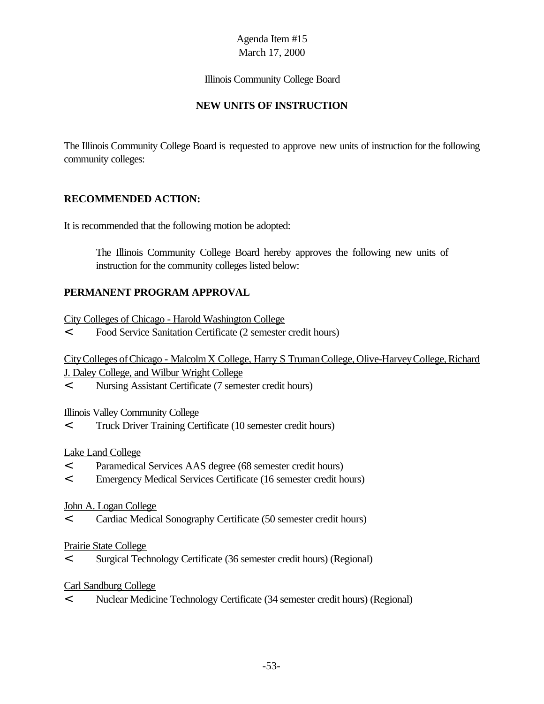#### Illinois Community College Board

### **NEW UNITS OF INSTRUCTION**

The Illinois Community College Board is requested to approve new units of instruction for the following community colleges:

### **RECOMMENDED ACTION:**

It is recommended that the following motion be adopted:

The Illinois Community College Board hereby approves the following new units of instruction for the community colleges listed below:

### **PERMANENT PROGRAM APPROVAL**

- City Colleges of Chicago Harold Washington College
- < Food Service Sanitation Certificate (2 semester credit hours)

City Colleges of Chicago - Malcolm X College, Harry S Truman College, Olive-Harvey College, Richard J. Daley College, and Wilbur Wright College

< Nursing Assistant Certificate (7 semester credit hours)

### Illinois Valley Community College

< Truck Driver Training Certificate (10 semester credit hours)

### Lake Land College

- < Paramedical Services AAS degree (68 semester credit hours)
- < Emergency Medical Services Certificate (16 semester credit hours)

### John A. Logan College

< Cardiac Medical Sonography Certificate (50 semester credit hours)

### Prairie State College

< Surgical Technology Certificate (36 semester credit hours) (Regional)

### Carl Sandburg College

< Nuclear Medicine Technology Certificate (34 semester credit hours) (Regional)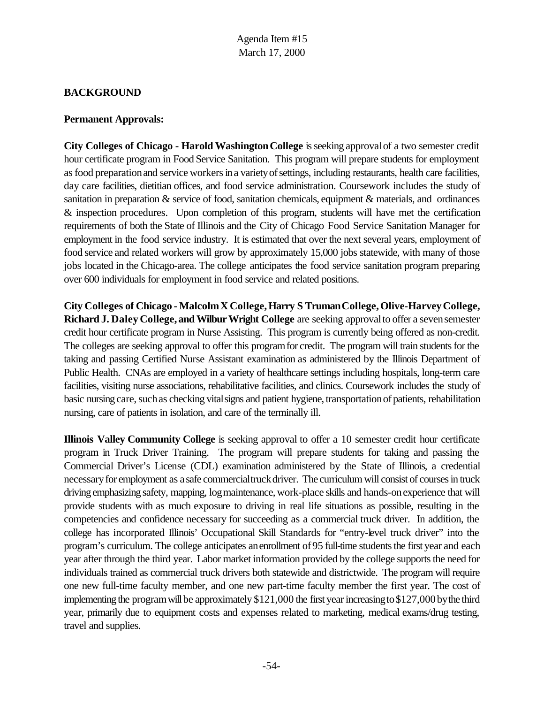### **BACKGROUND**

#### **Permanent Approvals:**

**City Colleges of Chicago - Harold WashingtonCollege** isseeking approvalof a two semester credit hour certificate program in Food Service Sanitation. This program will prepare students for employment as food preparation and service workers in a variety of settings, including restaurants, health care facilities, day care facilities, dietitian offices, and food service administration. Coursework includes the study of sanitation in preparation & service of food, sanitation chemicals, equipment & materials, and ordinances & inspection procedures. Upon completion of this program, students will have met the certification requirements of both the State of Illinois and the City of Chicago Food Service Sanitation Manager for employment in the food service industry. It is estimated that over the next several years, employment of food service and related workers will grow by approximately 15,000 jobs statewide, with many of those jobs located in the Chicago-area. The college anticipates the food service sanitation program preparing over 600 individuals for employment in food service and related positions.

**City Colleges of Chicago - MalcolmX College,Harry S TrumanCollege,Olive-HarveyCollege, Richard J. Daley College, andWilburWright College** are seeking approvalto offer a sevensemester credit hour certificate program in Nurse Assisting. This program is currently being offered as non-credit. The colleges are seeking approval to offer this program for credit. The program will train students for the taking and passing Certified Nurse Assistant examination as administered by the Illinois Department of Public Health. CNAs are employed in a variety of healthcare settings including hospitals, long-term care facilities, visiting nurse associations, rehabilitative facilities, and clinics. Coursework includes the study of basic nursing care, such as checking vital signs and patient hygiene, transportation of patients, rehabilitation nursing, care of patients in isolation, and care of the terminally ill.

**Illinois Valley Community College** is seeking approval to offer a 10 semester credit hour certificate program in Truck Driver Training. The program will prepare students for taking and passing the Commercial Driver's License (CDL) examination administered by the State of Illinois, a credential necessaryfor employment as a safe commercialtruckdriver. The curriculum will consist of courses in truck driving emphasizing safety, mapping, log maintenance, work-place skills and hands-on experience that will provide students with as much exposure to driving in real life situations as possible, resulting in the competencies and confidence necessary for succeeding as a commercial truck driver. In addition, the college has incorporated Illinois' Occupational Skill Standards for "entry-level truck driver" into the program's curriculum. The college anticipates anenrollment of 95 full-time students the first year and each year after through the third year. Labor market information provided by the college supports the need for individuals trained as commercial truck drivers both statewide and districtwide. The program will require one new full-time faculty member, and one new part-time faculty member the first year. The cost of implementing the program will be approximately  $$121,000$  the first year increasing to  $$127,000$  by the third year, primarily due to equipment costs and expenses related to marketing, medical exams/drug testing, travel and supplies.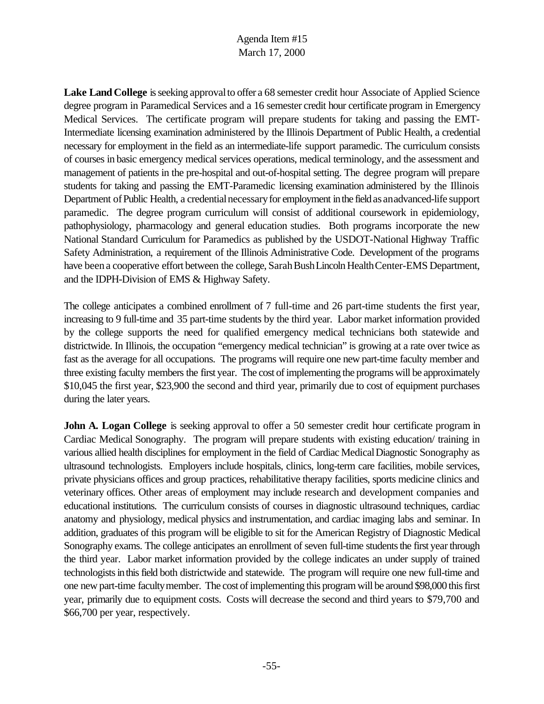Lake Land College is seeking approval to offer a 68 semester credit hour Associate of Applied Science degree program in Paramedical Services and a 16 semester credit hour certificate program in Emergency Medical Services. The certificate program will prepare students for taking and passing the EMT-Intermediate licensing examination administered by the Illinois Department of Public Health, a credential necessary for employment in the field as an intermediate-life support paramedic. The curriculum consists of courses in basic emergency medical services operations, medical terminology, and the assessment and management of patients in the pre-hospital and out-of-hospital setting. The degree program will prepare students for taking and passing the EMT-Paramedic licensing examination administered by the Illinois Department of Public Health, a credential necessary for employment in the field as an advanced-life support paramedic. The degree program curriculum will consist of additional coursework in epidemiology, pathophysiology, pharmacology and general education studies. Both programs incorporate the new National Standard Curriculum for Paramedics as published by the USDOT-National Highway Traffic Safety Administration, a requirement of the Illinois Administrative Code. Development of the programs have been a cooperative effort between the college, Sarah Bush Lincoln Health Center-EMS Department, and the IDPH-Division of EMS & Highway Safety.

The college anticipates a combined enrollment of 7 full-time and 26 part-time students the first year, increasing to 9 full-time and 35 part-time students by the third year. Labor market information provided by the college supports the need for qualified emergency medical technicians both statewide and districtwide. In Illinois, the occupation "emergency medical technician" is growing at a rate over twice as fast as the average for all occupations. The programs will require one new part-time faculty member and three existing faculty members the first year. The cost of implementing the programs will be approximately \$10,045 the first year, \$23,900 the second and third year, primarily due to cost of equipment purchases during the later years.

**John A. Logan College** is seeking approval to offer a 50 semester credit hour certificate program in Cardiac Medical Sonography. The program will prepare students with existing education/ training in various allied health disciplines for employment in the field of Cardiac Medical Diagnostic Sonography as ultrasound technologists. Employers include hospitals, clinics, long-term care facilities, mobile services, private physicians offices and group practices, rehabilitative therapy facilities, sports medicine clinics and veterinary offices. Other areas of employment may include research and development companies and educational institutions. The curriculum consists of courses in diagnostic ultrasound techniques, cardiac anatomy and physiology, medical physics and instrumentation, and cardiac imaging labs and seminar. In addition, graduates of this program will be eligible to sit for the American Registry of Diagnostic Medical Sonography exams. The college anticipates an enrollment of seven full-time students the first year through the third year. Labor market information provided by the college indicates an under supply of trained technologists in this field both districtwide and statewide. The program will require one new full-time and one new part-time facultymember. The cost of implementing this program will be around \$98,000 this first year, primarily due to equipment costs. Costs will decrease the second and third years to \$79,700 and \$66,700 per year, respectively.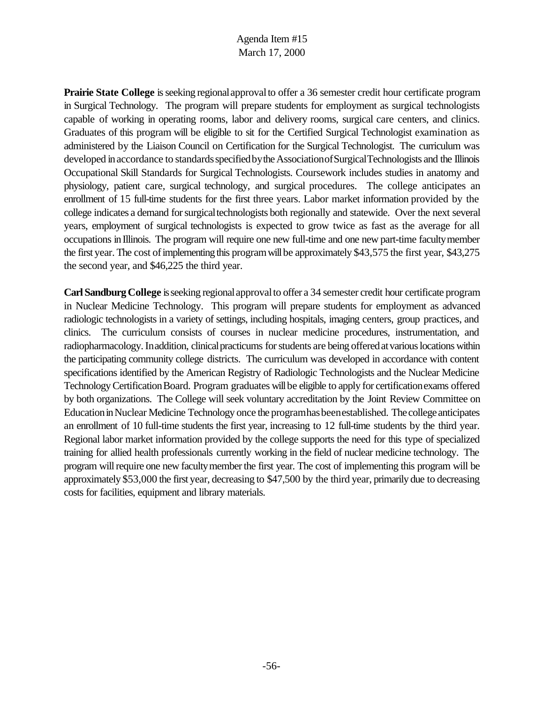**Prairie State College** is seeking regional approval to offer a 36 semester credit hour certificate program in Surgical Technology. The program will prepare students for employment as surgical technologists capable of working in operating rooms, labor and delivery rooms, surgical care centers, and clinics. Graduates of this program will be eligible to sit for the Certified Surgical Technologist examination as administered by the Liaison Council on Certification for the Surgical Technologist. The curriculum was developed in accordance to standards specified by the Association of Surgical Technologists and the Illinois Occupational Skill Standards for Surgical Technologists. Coursework includes studies in anatomy and physiology, patient care, surgical technology, and surgical procedures. The college anticipates an enrollment of 15 full-time students for the first three years. Labor market information provided by the college indicates a demand for surgical technologists both regionally and statewide. Over the next several years, employment of surgical technologists is expected to grow twice as fast as the average for all occupations inIllinois. The program will require one new full-time and one new part-time facultymember the first year. The cost of implementing this program will be approximately \$43,575 the first year, \$43,275 the second year, and \$46,225 the third year.

**Carl Sandburg College** is seeking regional approval to offer a 34 semester credit hour certificate program in Nuclear Medicine Technology. This program will prepare students for employment as advanced radiologic technologists in a variety of settings, including hospitals, imaging centers, group practices, and clinics. The curriculum consists of courses in nuclear medicine procedures, instrumentation, and radiopharmacology. In addition, clinical practicums for students are being offered at various locations within the participating community college districts. The curriculum was developed in accordance with content specifications identified by the American Registry of Radiologic Technologists and the Nuclear Medicine Technology Certification Board. Program graduates will be eligible to apply for certification exams offered by both organizations. The College will seek voluntary accreditation by the Joint Review Committee on Education in Nuclear Medicine Technology once the programhas beenestablished. The college anticipates an enrollment of 10 full-time students the first year, increasing to 12 full-time students by the third year. Regional labor market information provided by the college supports the need for this type of specialized training for allied health professionals currently working in the field of nuclear medicine technology. The program will require one new faculty member the first year. The cost of implementing this program will be approximately \$53,000 the first year, decreasing to \$47,500 by the third year, primarily due to decreasing costs for facilities, equipment and library materials.